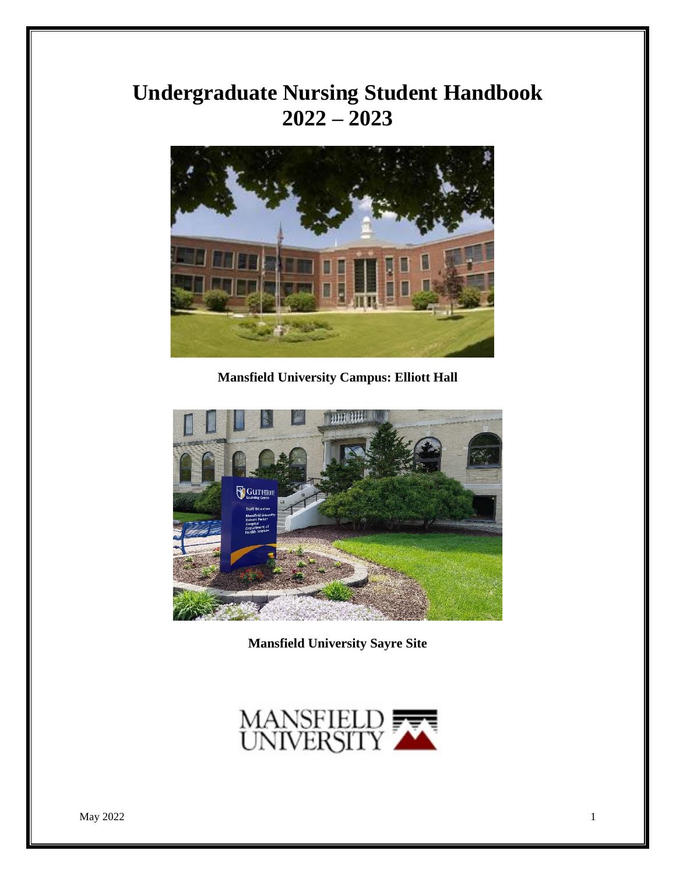# **Undergraduate Nursing Student Handbook 2022 – 2023**



**Mansfield University Campus: Elliott Hall**



**Mansfield University Sayre Site**

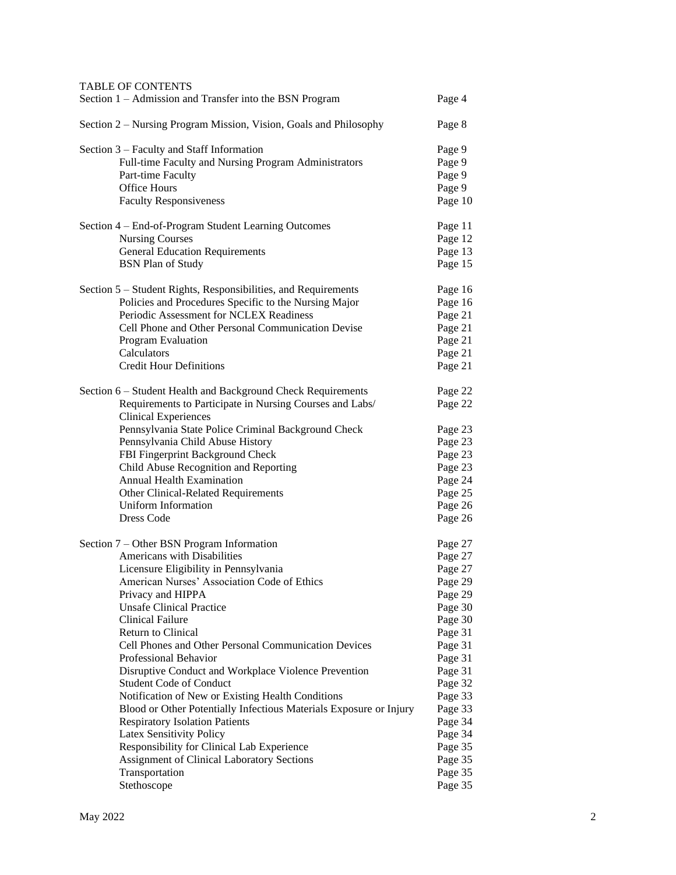| <b>TABLE OF CONTENTS</b><br>Section 1 - Admission and Transfer into the BSN Program               | Page 4             |
|---------------------------------------------------------------------------------------------------|--------------------|
| Section 2 – Nursing Program Mission, Vision, Goals and Philosophy                                 | Page 8             |
| Section 3 – Faculty and Staff Information<br>Full-time Faculty and Nursing Program Administrators | Page 9<br>Page 9   |
| Part-time Faculty                                                                                 | Page 9             |
| <b>Office Hours</b>                                                                               | Page 9             |
| <b>Faculty Responsiveness</b>                                                                     | Page 10            |
| Section 4 – End-of-Program Student Learning Outcomes                                              | Page 11            |
| <b>Nursing Courses</b>                                                                            | Page 12            |
| <b>General Education Requirements</b><br><b>BSN Plan of Study</b>                                 | Page 13<br>Page 15 |
|                                                                                                   |                    |
| Section 5 – Student Rights, Responsibilities, and Requirements                                    | Page 16            |
| Policies and Procedures Specific to the Nursing Major<br>Periodic Assessment for NCLEX Readiness  | Page 16            |
| Cell Phone and Other Personal Communication Devise                                                | Page 21<br>Page 21 |
| Program Evaluation                                                                                | Page 21            |
| Calculators                                                                                       | Page 21            |
| <b>Credit Hour Definitions</b>                                                                    | Page 21            |
| Section 6 – Student Health and Background Check Requirements                                      | Page 22            |
| Requirements to Participate in Nursing Courses and Labs/                                          | Page 22            |
| <b>Clinical Experiences</b>                                                                       |                    |
| Pennsylvania State Police Criminal Background Check<br>Pennsylvania Child Abuse History           | Page 23<br>Page 23 |
| FBI Fingerprint Background Check                                                                  | Page 23            |
| Child Abuse Recognition and Reporting                                                             | Page 23            |
| <b>Annual Health Examination</b>                                                                  | Page 24            |
| Other Clinical-Related Requirements                                                               | Page 25            |
| Uniform Information                                                                               | Page 26            |
| Dress Code                                                                                        | Page 26            |
| Section 7 – Other BSN Program Information                                                         | Page 27            |
| Americans with Disabilities                                                                       | Page 27            |
| Licensure Eligibility in Pennsylvania                                                             | Page 27            |
| American Nurses' Association Code of Ethics                                                       | Page 29            |
| Privacy and HIPPA                                                                                 | Page 29            |
| <b>Unsafe Clinical Practice</b>                                                                   | Page 30            |
| <b>Clinical Failure</b>                                                                           | Page 30            |
| Return to Clinical                                                                                | Page 31            |
| Cell Phones and Other Personal Communication Devices                                              | Page 31            |
| Professional Behavior<br>Disruptive Conduct and Workplace Violence Prevention                     | Page 31<br>Page 31 |
| <b>Student Code of Conduct</b>                                                                    | Page 32            |
| Notification of New or Existing Health Conditions                                                 | Page 33            |
| Blood or Other Potentially Infectious Materials Exposure or Injury                                | Page 33            |
| <b>Respiratory Isolation Patients</b>                                                             | Page 34            |
| Latex Sensitivity Policy                                                                          | Page 34            |
| Responsibility for Clinical Lab Experience                                                        | Page 35            |
| <b>Assignment of Clinical Laboratory Sections</b>                                                 | Page 35            |
| Transportation                                                                                    | Page 35            |
| Stethoscope                                                                                       | Page 35            |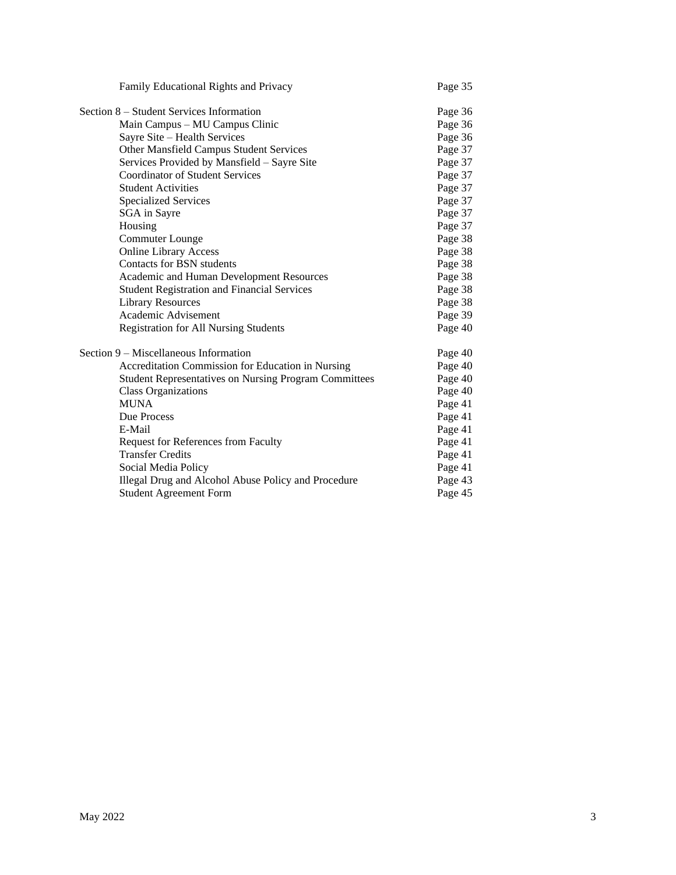| Family Educational Rights and Privacy                        | Page 35 |
|--------------------------------------------------------------|---------|
| Section 8 – Student Services Information                     | Page 36 |
| Main Campus – MU Campus Clinic                               | Page 36 |
| Sayre Site - Health Services                                 | Page 36 |
| Other Mansfield Campus Student Services                      | Page 37 |
| Services Provided by Mansfield - Sayre Site                  | Page 37 |
| <b>Coordinator of Student Services</b>                       | Page 37 |
| <b>Student Activities</b>                                    | Page 37 |
| <b>Specialized Services</b>                                  | Page 37 |
| SGA in Sayre                                                 | Page 37 |
| Housing                                                      | Page 37 |
| <b>Commuter Lounge</b>                                       | Page 38 |
| <b>Online Library Access</b>                                 | Page 38 |
| Contacts for BSN students                                    | Page 38 |
| Academic and Human Development Resources                     | Page 38 |
| <b>Student Registration and Financial Services</b>           | Page 38 |
| <b>Library Resources</b>                                     | Page 38 |
| Academic Advisement                                          | Page 39 |
| <b>Registration for All Nursing Students</b>                 | Page 40 |
| Section 9 – Miscellaneous Information                        | Page 40 |
| Accreditation Commission for Education in Nursing            | Page 40 |
| <b>Student Representatives on Nursing Program Committees</b> | Page 40 |
| <b>Class Organizations</b>                                   | Page 40 |
| <b>MUNA</b>                                                  | Page 41 |
| Due Process                                                  | Page 41 |
| E-Mail                                                       | Page 41 |
| <b>Request for References from Faculty</b>                   | Page 41 |
| <b>Transfer Credits</b>                                      | Page 41 |
| Social Media Policy                                          | Page 41 |
| Illegal Drug and Alcohol Abuse Policy and Procedure          | Page 43 |
| <b>Student Agreement Form</b>                                | Page 45 |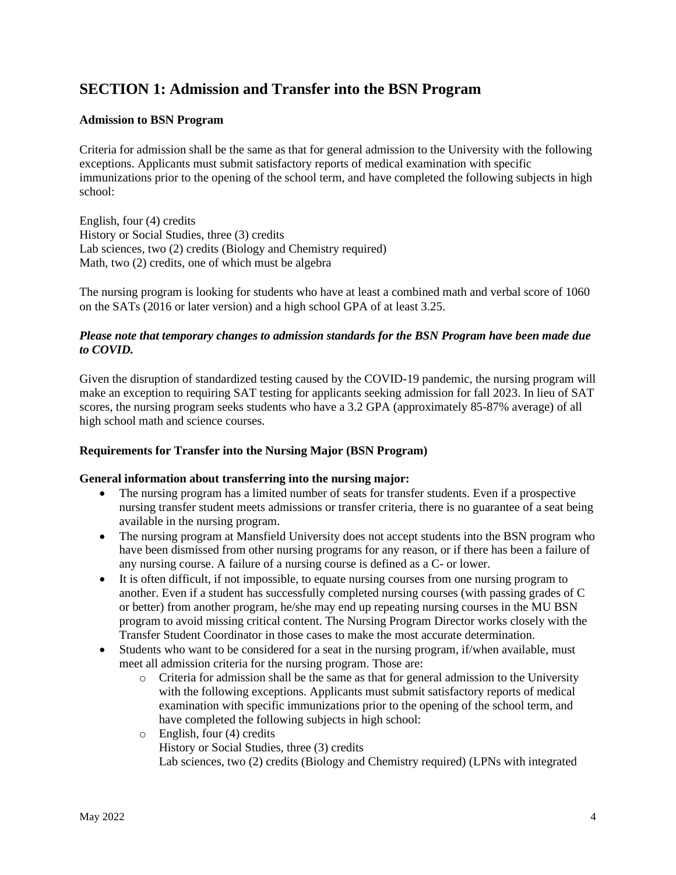## **SECTION 1: Admission and Transfer into the BSN Program**

#### **Admission to BSN Program**

Criteria for admission shall be the same as that for general admission to the University with the following exceptions. Applicants must submit satisfactory reports of medical examination with specific immunizations prior to the opening of the school term, and have completed the following subjects in high school:

English, four (4) credits History or Social Studies, three (3) credits Lab sciences, two (2) credits (Biology and Chemistry required) Math, two (2) credits, one of which must be algebra

The nursing program is looking for students who have at least a combined math and verbal score of 1060 on the SATs (2016 or later version) and a high school GPA of at least 3.25.

#### *Please note that temporary changes to admission standards for the BSN Program have been made due to COVID.*

Given the disruption of standardized testing caused by the COVID-19 pandemic, the nursing program will make an exception to requiring SAT testing for applicants seeking admission for fall 2023. In lieu of SAT scores, the nursing program seeks students who have a 3.2 GPA (approximately 85-87% average) of all high school math and science courses.

#### **Requirements for Transfer into the Nursing Major (BSN Program)**

#### **General information about transferring into the nursing major:**

- The nursing program has a limited number of seats for transfer students. Even if a prospective nursing transfer student meets admissions or transfer criteria, there is no guarantee of a seat being available in the nursing program.
- The nursing program at Mansfield University does not accept students into the BSN program who have been dismissed from other nursing programs for any reason, or if there has been a failure of any nursing course. A failure of a nursing course is defined as a C- or lower.
- It is often difficult, if not impossible, to equate nursing courses from one nursing program to another. Even if a student has successfully completed nursing courses (with passing grades of C or better) from another program, he/she may end up repeating nursing courses in the MU BSN program to avoid missing critical content. The Nursing Program Director works closely with the Transfer Student Coordinator in those cases to make the most accurate determination.
- Students who want to be considered for a seat in the nursing program, if/when available, must meet all admission criteria for the nursing program. Those are:
	- o Criteria for admission shall be the same as that for general admission to the University with the following exceptions. Applicants must submit satisfactory reports of medical examination with specific immunizations prior to the opening of the school term, and have completed the following subjects in high school:
	- o English, four (4) credits History or Social Studies, three (3) credits Lab sciences, two (2) credits (Biology and Chemistry required) (LPNs with integrated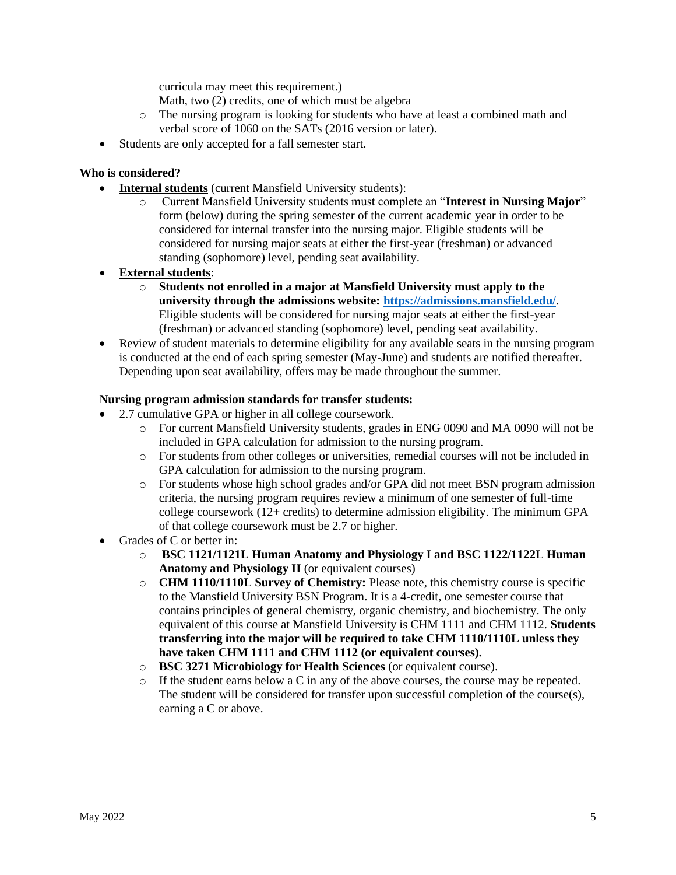curricula may meet this requirement.)

Math, two (2) credits, one of which must be algebra

- o The nursing program is looking for students who have at least a combined math and verbal score of 1060 on the SATs (2016 version or later).
- Students are only accepted for a fall semester start.

#### **Who is considered?**

- **Internal students** (current Mansfield University students):
	- o Current Mansfield University students must complete an "**Interest in Nursing Major**" form (below) during the spring semester of the current academic year in order to be considered for internal transfer into the nursing major. Eligible students will be considered for nursing major seats at either the first-year (freshman) or advanced standing (sophomore) level, pending seat availability.
- **External students**:
	- o **Students not enrolled in a major at Mansfield University must apply to the university through the admissions website:<https://admissions.mansfield.edu/>**. Eligible students will be considered for nursing major seats at either the first-year (freshman) or advanced standing (sophomore) level, pending seat availability.
- Review of student materials to determine eligibility for any available seats in the nursing program is conducted at the end of each spring semester (May-June) and students are notified thereafter. Depending upon seat availability, offers may be made throughout the summer.

#### **Nursing program admission standards for transfer students:**

- 2.7 cumulative GPA or higher in all college coursework.
	- o For current Mansfield University students, grades in ENG 0090 and MA 0090 will not be included in GPA calculation for admission to the nursing program.
	- o For students from other colleges or universities, remedial courses will not be included in GPA calculation for admission to the nursing program.
	- o For students whose high school grades and/or GPA did not meet BSN program admission criteria, the nursing program requires review a minimum of one semester of full-time college coursework (12+ credits) to determine admission eligibility. The minimum GPA of that college coursework must be 2.7 or higher.
- Grades of C or better in:
	- o **BSC 1121/1121L Human Anatomy and Physiology I and BSC 1122/1122L Human Anatomy and Physiology II** (or equivalent courses)
	- o **CHM 1110/1110L Survey of Chemistry:** Please note, this chemistry course is specific to the Mansfield University BSN Program. It is a 4-credit, one semester course that contains principles of general chemistry, organic chemistry, and biochemistry. The only equivalent of this course at Mansfield University is CHM 1111 and CHM 1112. **Students transferring into the major will be required to take CHM 1110/1110L unless they have taken CHM 1111 and CHM 1112 (or equivalent courses).**
	- o **BSC 3271 Microbiology for Health Sciences** (or equivalent course).
	- o If the student earns below a C in any of the above courses, the course may be repeated. The student will be considered for transfer upon successful completion of the course(s), earning a C or above.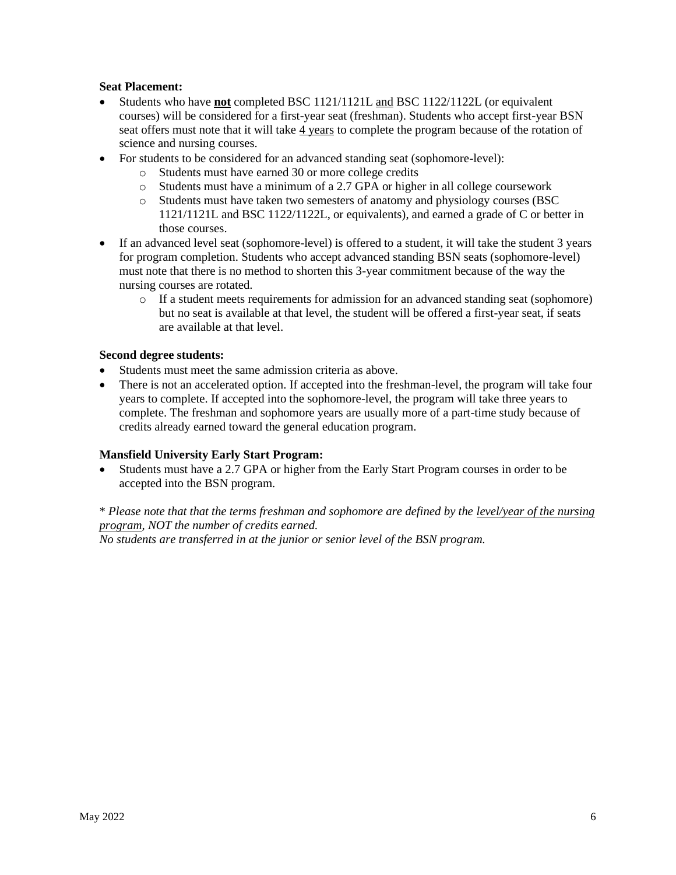#### **Seat Placement:**

- Students who have **not** completed BSC 1121/1121L and BSC 1122/1122L (or equivalent courses) will be considered for a first-year seat (freshman). Students who accept first-year BSN seat offers must note that it will take  $\frac{4 \text{ years}}{2}$  to complete the program because of the rotation of science and nursing courses.
- For students to be considered for an advanced standing seat (sophomore-level):
	- o Students must have earned 30 or more college credits
	- o Students must have a minimum of a 2.7 GPA or higher in all college coursework
	- o Students must have taken two semesters of anatomy and physiology courses (BSC 1121/1121L and BSC 1122/1122L, or equivalents), and earned a grade of C or better in those courses.
- If an advanced level seat (sophomore-level) is offered to a student, it will take the student 3 years for program completion. Students who accept advanced standing BSN seats (sophomore-level) must note that there is no method to shorten this 3-year commitment because of the way the nursing courses are rotated.
	- o If a student meets requirements for admission for an advanced standing seat (sophomore) but no seat is available at that level, the student will be offered a first-year seat, if seats are available at that level.

#### **Second degree students:**

- Students must meet the same admission criteria as above.
- There is not an accelerated option. If accepted into the freshman-level, the program will take four years to complete. If accepted into the sophomore-level, the program will take three years to complete. The freshman and sophomore years are usually more of a part-time study because of credits already earned toward the general education program.

#### **Mansfield University Early Start Program:**

• Students must have a 2.7 GPA or higher from the Early Start Program courses in order to be accepted into the BSN program.

## \* *Please note that that the terms freshman and sophomore are defined by the level/year of the nursing program, NOT the number of credits earned.*

*No students are transferred in at the junior or senior level of the BSN program.*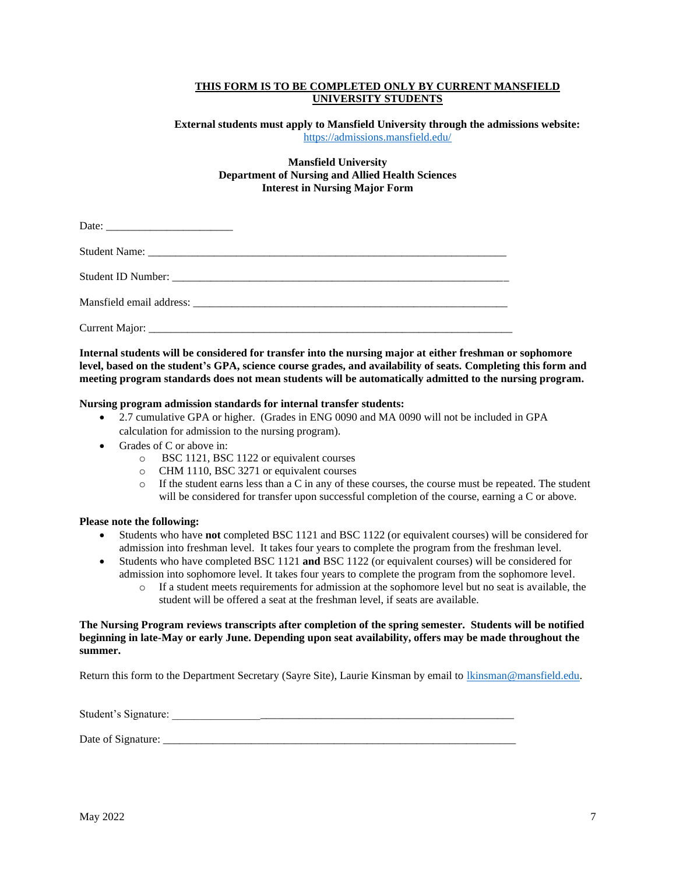#### **THIS FORM IS TO BE COMPLETED ONLY BY CURRENT MANSFIELD UNIVERSITY STUDENTS**

#### **External students must apply to Mansfield University through the admissions website:**  <https://admissions.mansfield.edu/>

#### **Mansfield University Department of Nursing and Allied Health Sciences Interest in Nursing Major Form**

**Internal students will be considered for transfer into the nursing major at either freshman or sophomore level, based on the student's GPA, science course grades, and availability of seats. Completing this form and meeting program standards does not mean students will be automatically admitted to the nursing program.** 

#### **Nursing program admission standards for internal transfer students:**

- 2.7 cumulative GPA or higher. (Grades in ENG 0090 and MA 0090 will not be included in GPA calculation for admission to the nursing program).
- Grades of C or above in:
	- o BSC 1121, BSC 1122 or equivalent courses
	- o CHM 1110, BSC 3271 or equivalent courses
	- $\circ$  If the student earns less than a C in any of these courses, the course must be repeated. The student will be considered for transfer upon successful completion of the course, earning a C or above.

#### **Please note the following:**

- Students who have **not** completed BSC 1121 and BSC 1122 (or equivalent courses) will be considered for admission into freshman level. It takes four years to complete the program from the freshman level.
- Students who have completed BSC 1121 **and** BSC 1122 (or equivalent courses) will be considered for admission into sophomore level. It takes four years to complete the program from the sophomore level.
	- o If a student meets requirements for admission at the sophomore level but no seat is available, the student will be offered a seat at the freshman level, if seats are available.

#### **The Nursing Program reviews transcripts after completion of the spring semester. Students will be notified beginning in late-May or early June. Depending upon seat availability, offers may be made throughout the summer.**

Return this form to the Department Secretary (Sayre Site), Laurie Kinsman by email to [lkinsman@mansfield.edu.](mailto:lkinsman@mansfield.edu)

Student's Signature: \_\_\_\_\_\_\_\_\_\_\_\_\_\_\_\_\_\_\_\_\_\_\_\_\_\_\_\_\_\_\_\_\_\_\_\_\_\_\_\_\_\_\_\_\_\_\_\_\_\_\_\_\_\_\_\_\_\_\_\_\_\_

Date of Signature: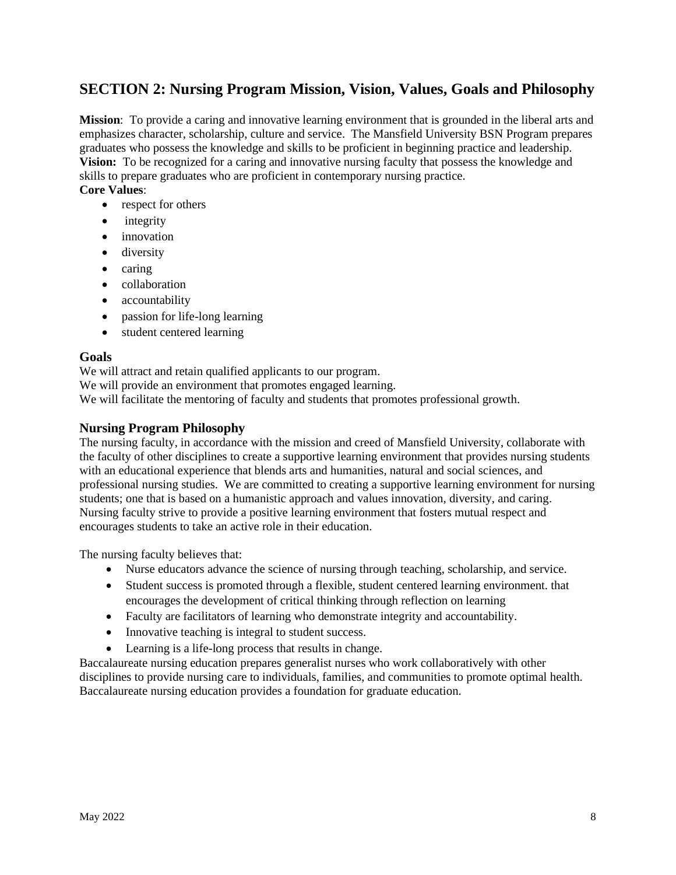## **SECTION 2: Nursing Program Mission, Vision, Values, Goals and Philosophy**

**Mission**: To provide a caring and innovative learning environment that is grounded in the liberal arts and emphasizes character, scholarship, culture and service. The Mansfield University BSN Program prepares graduates who possess the knowledge and skills to be proficient in beginning practice and leadership. **Vision:** To be recognized for a caring and innovative nursing faculty that possess the knowledge and skills to prepare graduates who are proficient in contemporary nursing practice.

### **Core Values**:

- respect for others
- integrity
- innovation
- diversity
- caring
- collaboration
- accountability
- passion for life-long learning
- student centered learning

#### **Goals**

We will attract and retain qualified applicants to our program.

We will provide an environment that promotes engaged learning.

We will facilitate the mentoring of faculty and students that promotes professional growth.

#### **Nursing Program Philosophy**

The nursing faculty, in accordance with the mission and creed of Mansfield University, collaborate with the faculty of other disciplines to create a supportive learning environment that provides nursing students with an educational experience that blends arts and humanities, natural and social sciences, and professional nursing studies. We are committed to creating a supportive learning environment for nursing students; one that is based on a humanistic approach and values innovation, diversity, and caring. Nursing faculty strive to provide a positive learning environment that fosters mutual respect and encourages students to take an active role in their education.

The nursing faculty believes that:

- Nurse educators advance the science of nursing through teaching, scholarship, and service.
- Student success is promoted through a flexible, student centered learning environment. that encourages the development of critical thinking through reflection on learning
- Faculty are facilitators of learning who demonstrate integrity and accountability.
- Innovative teaching is integral to student success.
- Learning is a life-long process that results in change.

Baccalaureate nursing education prepares generalist nurses who work collaboratively with other disciplines to provide nursing care to individuals, families, and communities to promote optimal health. Baccalaureate nursing education provides a foundation for graduate education.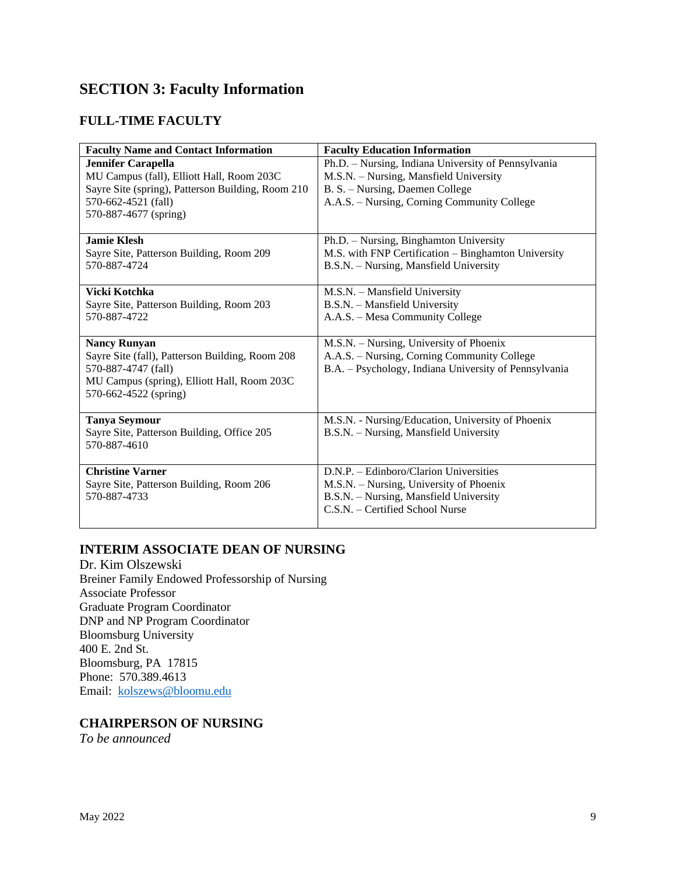## **SECTION 3: Faculty Information**

## **FULL-TIME FACULTY**

| <b>Faculty Name and Contact Information</b>                                                                                                                                 | <b>Faculty Education Information</b>                                                                                                                                            |
|-----------------------------------------------------------------------------------------------------------------------------------------------------------------------------|---------------------------------------------------------------------------------------------------------------------------------------------------------------------------------|
| <b>Jennifer Carapella</b><br>MU Campus (fall), Elliott Hall, Room 203C<br>Sayre Site (spring), Patterson Building, Room 210<br>570-662-4521 (fall)<br>570-887-4677 (spring) | Ph.D. - Nursing, Indiana University of Pennsylvania<br>M.S.N. - Nursing, Mansfield University<br>B. S. - Nursing, Daemen College<br>A.A.S. – Nursing, Corning Community College |
| <b>Jamie Klesh</b><br>Sayre Site, Patterson Building, Room 209<br>570-887-4724                                                                                              | Ph.D. - Nursing, Binghamton University<br>M.S. with FNP Certification - Binghamton University<br>B.S.N. - Nursing, Mansfield University                                         |
| Vicki Kotchka<br>Sayre Site, Patterson Building, Room 203<br>570-887-4722                                                                                                   | M.S.N. - Mansfield University<br>B.S.N. - Mansfield University<br>A.A.S. - Mesa Community College                                                                               |
| <b>Nancy Runyan</b><br>Sayre Site (fall), Patterson Building, Room 208<br>570-887-4747 (fall)<br>MU Campus (spring), Elliott Hall, Room 203C<br>570-662-4522 (spring)       | M.S.N. - Nursing, University of Phoenix<br>A.A.S. - Nursing, Corning Community College<br>B.A. - Psychology, Indiana University of Pennsylvania                                 |
| <b>Tanya Seymour</b><br>Sayre Site, Patterson Building, Office 205<br>570-887-4610                                                                                          | M.S.N. - Nursing/Education, University of Phoenix<br>B.S.N. - Nursing, Mansfield University                                                                                     |
| <b>Christine Varner</b><br>Sayre Site, Patterson Building, Room 206<br>570-887-4733                                                                                         | D.N.P. - Edinboro/Clarion Universities<br>M.S.N. – Nursing, University of Phoenix<br>B.S.N. - Nursing, Mansfield University<br>C.S.N. - Certified School Nurse                  |

### **INTERIM ASSOCIATE DEAN OF NURSING**

Dr. Kim Olszewski Breiner Family Endowed Professorship of Nursing Associate Professor Graduate Program Coordinator DNP and NP Program Coordinator Bloomsburg University 400 E. 2nd St. Bloomsburg, PA 17815 Phone: 570.389.4613 Email: [kolszews@bloomu.edu](mailto:kolszews@bloomu.edu)

### **CHAIRPERSON OF NURSING**

*To be announced*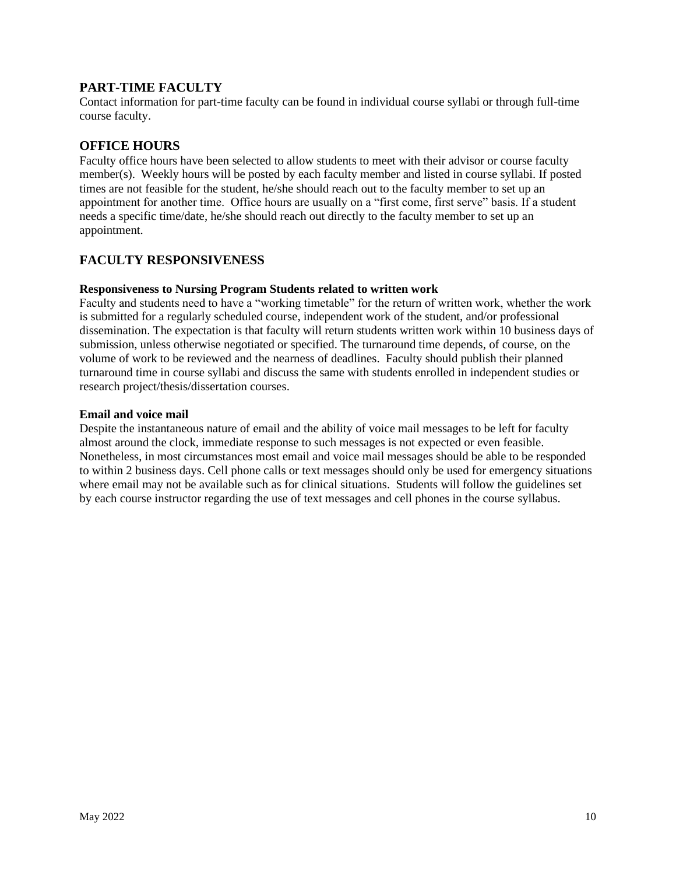## **PART-TIME FACULTY**

Contact information for part-time faculty can be found in individual course syllabi or through full-time course faculty.

## **OFFICE HOURS**

Faculty office hours have been selected to allow students to meet with their advisor or course faculty member(s). Weekly hours will be posted by each faculty member and listed in course syllabi. If posted times are not feasible for the student, he/she should reach out to the faculty member to set up an appointment for another time. Office hours are usually on a "first come, first serve" basis. If a student needs a specific time/date, he/she should reach out directly to the faculty member to set up an appointment.

#### **FACULTY RESPONSIVENESS**

#### **Responsiveness to Nursing Program Students related to written work**

Faculty and students need to have a "working timetable" for the return of written work, whether the work is submitted for a regularly scheduled course, independent work of the student, and/or professional dissemination. The expectation is that faculty will return students written work within 10 business days of submission, unless otherwise negotiated or specified. The turnaround time depends, of course, on the volume of work to be reviewed and the nearness of deadlines. Faculty should publish their planned turnaround time in course syllabi and discuss the same with students enrolled in independent studies or research project/thesis/dissertation courses.

#### **Email and voice mail**

Despite the instantaneous nature of email and the ability of voice mail messages to be left for faculty almost around the clock, immediate response to such messages is not expected or even feasible. Nonetheless, in most circumstances most email and voice mail messages should be able to be responded to within 2 business days. Cell phone calls or text messages should only be used for emergency situations where email may not be available such as for clinical situations. Students will follow the guidelines set by each course instructor regarding the use of text messages and cell phones in the course syllabus.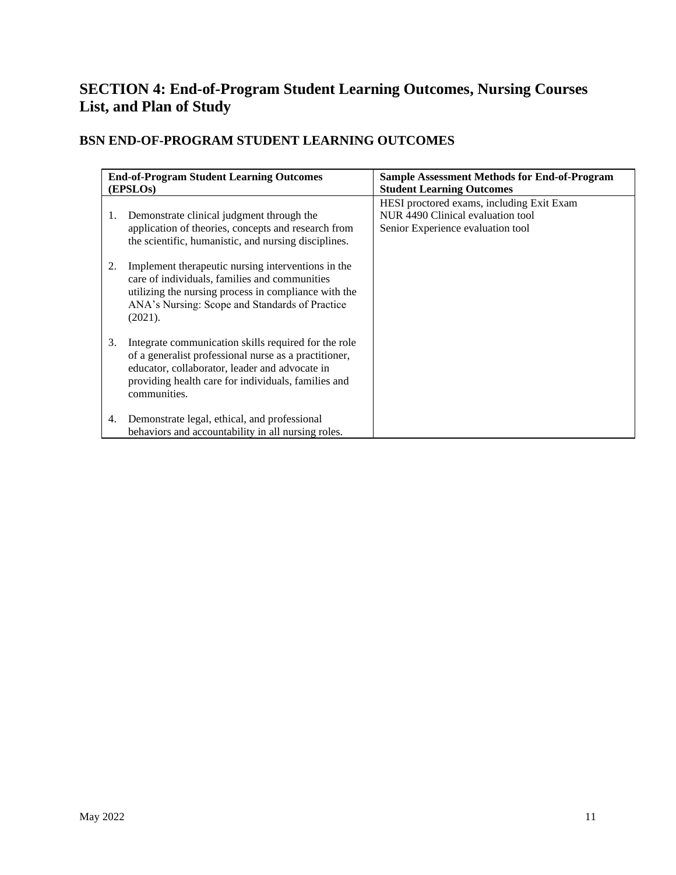## **SECTION 4: End-of-Program Student Learning Outcomes, Nursing Courses List, and Plan of Study**

## **BSN END-OF-PROGRAM STUDENT LEARNING OUTCOMES**

|    | <b>End-of-Program Student Learning Outcomes</b><br>(EPSLOs)                                                                                                                                                                            | <b>Sample Assessment Methods for End-of-Program</b><br><b>Student Learning Outcomes</b>                             |
|----|----------------------------------------------------------------------------------------------------------------------------------------------------------------------------------------------------------------------------------------|---------------------------------------------------------------------------------------------------------------------|
| 1. | Demonstrate clinical judgment through the<br>application of theories, concepts and research from<br>the scientific, humanistic, and nursing disciplines.                                                                               | HESI proctored exams, including Exit Exam<br>NUR 4490 Clinical evaluation tool<br>Senior Experience evaluation tool |
| 2. | Implement therapeutic nursing interventions in the<br>care of individuals, families and communities<br>utilizing the nursing process in compliance with the<br>ANA's Nursing: Scope and Standards of Practice<br>(2021).               |                                                                                                                     |
| 3. | Integrate communication skills required for the role<br>of a generalist professional nurse as a practitioner,<br>educator, collaborator, leader and advocate in<br>providing health care for individuals, families and<br>communities. |                                                                                                                     |
| 4. | Demonstrate legal, ethical, and professional<br>behaviors and accountability in all nursing roles.                                                                                                                                     |                                                                                                                     |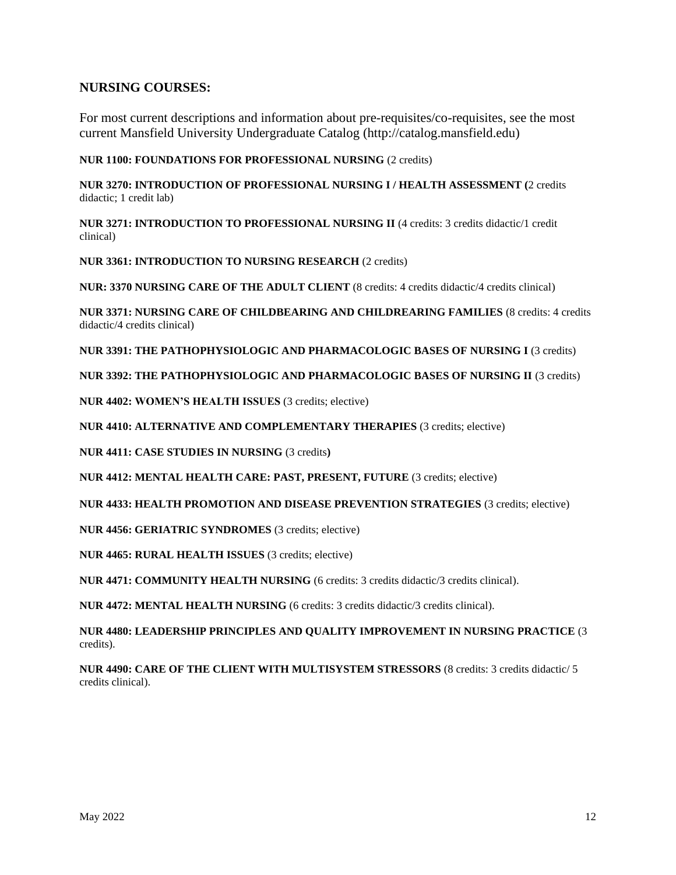### **NURSING COURSES:**

For most current descriptions and information about pre-requisites/co-requisites, see the most current Mansfield University Undergraduate Catalog (http://catalog.mansfield.edu)

**NUR 1100: FOUNDATIONS FOR PROFESSIONAL NURSING** (2 credits)

**NUR 3270: INTRODUCTION OF PROFESSIONAL NURSING I / HEALTH ASSESSMENT (**2 credits didactic; 1 credit lab)

**NUR 3271: INTRODUCTION TO PROFESSIONAL NURSING II** (4 credits: 3 credits didactic/1 credit clinical)

**NUR 3361: INTRODUCTION TO NURSING RESEARCH** (2 credits)

**NUR: 3370 NURSING CARE OF THE ADULT CLIENT** (8 credits: 4 credits didactic/4 credits clinical)

**NUR 3371: NURSING CARE OF CHILDBEARING AND CHILDREARING FAMILIES** (8 credits: 4 credits didactic/4 credits clinical)

**NUR 3391: THE PATHOPHYSIOLOGIC AND PHARMACOLOGIC BASES OF NURSING I** (3 credits)

**NUR 3392: THE PATHOPHYSIOLOGIC AND PHARMACOLOGIC BASES OF NURSING II** (3 credits)

**NUR 4402: WOMEN'S HEALTH ISSUES** (3 credits; elective)

**NUR 4410: ALTERNATIVE AND COMPLEMENTARY THERAPIES** (3 credits; elective)

**NUR 4411: CASE STUDIES IN NURSING** (3 credits**)**

**NUR 4412: MENTAL HEALTH CARE: PAST, PRESENT, FUTURE** (3 credits; elective)

**NUR 4433: HEALTH PROMOTION AND DISEASE PREVENTION STRATEGIES** (3 credits; elective)

**NUR 4456: GERIATRIC SYNDROMES** (3 credits; elective)

**NUR 4465: RURAL HEALTH ISSUES** (3 credits; elective)

**NUR 4471: COMMUNITY HEALTH NURSING** (6 credits: 3 credits didactic/3 credits clinical).

**NUR 4472: MENTAL HEALTH NURSING** (6 credits: 3 credits didactic/3 credits clinical).

**NUR 4480: LEADERSHIP PRINCIPLES AND QUALITY IMPROVEMENT IN NURSING PRACTICE** (3 credits).

**NUR 4490: CARE OF THE CLIENT WITH MULTISYSTEM STRESSORS** (8 credits: 3 credits didactic/ 5 credits clinical).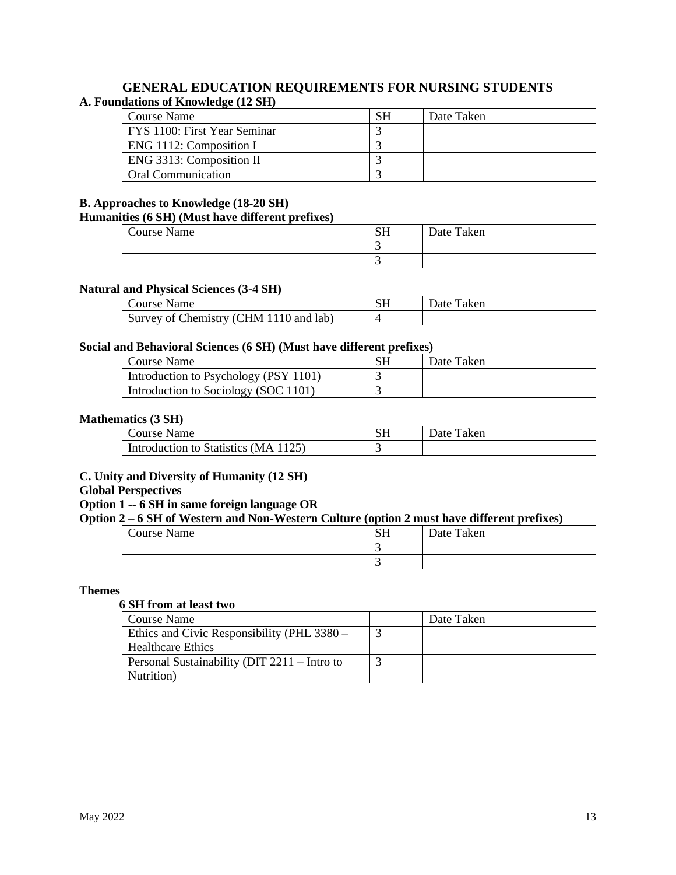#### **GENERAL EDUCATION REQUIREMENTS FOR NURSING STUDENTS A. Foundations of Knowledge (12 SH)**

| Course Name                  | SН | Date Taken |
|------------------------------|----|------------|
| FYS 1100: First Year Seminar |    |            |
| ENG 1112: Composition I      |    |            |
| ENG 3313: Composition II     |    |            |
| <b>Oral Communication</b>    |    |            |

#### **B. Approaches to Knowledge (18-20 SH)**

#### **Humanities (6 SH) (Must have different prefixes)**

| <b>Course Name</b> | C1<br>IJΠ | Date Taken |
|--------------------|-----------|------------|
|                    | . .       |            |
|                    |           |            |

#### **Natural and Physical Sciences (3-4 SH)**

| Course Name                            | Taken<br>⊃ate≐ |
|----------------------------------------|----------------|
| Survey of Chemistry (CHM 1110 and lab) |                |

#### **Social and Behavioral Sciences (6 SH) (Must have different prefixes)**

| l Course Name                         | Date Taken |
|---------------------------------------|------------|
| Introduction to Psychology (PSY 1101) |            |
| Introduction to Sociology (SOC 1101)  |            |

#### **Mathematics (3 SH)**

| Course Name                          | $\mathbf{C}$ $\mathbf{L}$ | Date<br>Taken |
|--------------------------------------|---------------------------|---------------|
| Introduction to Statistics (MA 1125) | $\overline{\phantom{a}}$  |               |

### **C. Unity and Diversity of Humanity (12 SH)**

#### **Global Perspectives**

#### **Option 1 -- 6 SH in same foreign language OR**

### **Option 2 – 6 SH of Western and Non-Western Culture (option 2 must have different prefixes)**

| ___<br>.<br>___<br>.<br>_ _ _ _ _ _ |                    | _______<br>____ |
|-------------------------------------|--------------------|-----------------|
| Course Name                         | CT 1<br><b>DIT</b> | Date Taken      |
|                                     |                    |                 |
|                                     | . .                |                 |

#### **Themes**

#### **6 SH from at least two**

| Course Name                                  | Date Taken |
|----------------------------------------------|------------|
| Ethics and Civic Responsibility (PHL 3380 –  |            |
| <b>Healthcare Ethics</b>                     |            |
| Personal Sustainability (DIT 2211 – Intro to |            |
| Nutrition)                                   |            |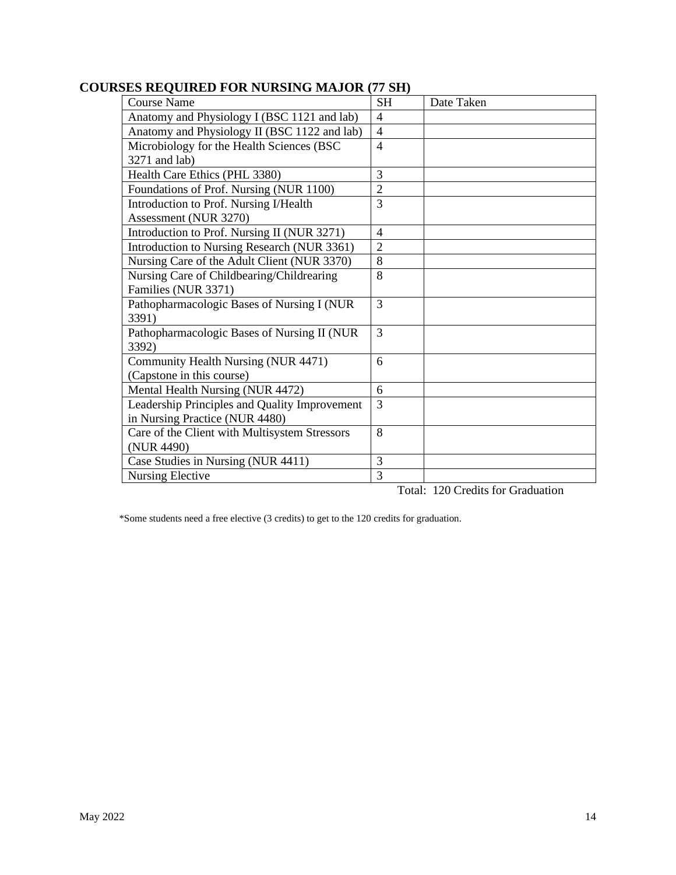| <b>COURSES REQUIRED FOR NURSING MAJOR (77 SH)</b> |  |  |
|---------------------------------------------------|--|--|
|                                                   |  |  |

| Course Name                                   | <b>SH</b>      | Date Taken |
|-----------------------------------------------|----------------|------------|
| Anatomy and Physiology I (BSC 1121 and lab)   | $\overline{4}$ |            |
| Anatomy and Physiology II (BSC 1122 and lab)  | $\overline{4}$ |            |
| Microbiology for the Health Sciences (BSC     | $\overline{4}$ |            |
| 3271 and lab)                                 |                |            |
| Health Care Ethics (PHL 3380)                 | 3              |            |
| Foundations of Prof. Nursing (NUR 1100)       | $\overline{2}$ |            |
| Introduction to Prof. Nursing I/Health        | 3              |            |
| Assessment (NUR 3270)                         |                |            |
| Introduction to Prof. Nursing II (NUR 3271)   | 4              |            |
| Introduction to Nursing Research (NUR 3361)   | $\overline{2}$ |            |
| Nursing Care of the Adult Client (NUR 3370)   | 8              |            |
| Nursing Care of Childbearing/Childrearing     | 8              |            |
| Families (NUR 3371)                           |                |            |
| Pathopharmacologic Bases of Nursing I (NUR    | 3              |            |
| 3391)                                         |                |            |
| Pathopharmacologic Bases of Nursing II (NUR   | 3              |            |
| 3392)                                         |                |            |
| Community Health Nursing (NUR 4471)           | 6              |            |
| (Capstone in this course)                     |                |            |
| Mental Health Nursing (NUR 4472)              | 6              |            |
| Leadership Principles and Quality Improvement | 3              |            |
| in Nursing Practice (NUR 4480)                |                |            |
| Care of the Client with Multisystem Stressors | 8              |            |
| (NUR 4490)                                    |                |            |
| Case Studies in Nursing (NUR 4411)            | 3              |            |
| <b>Nursing Elective</b>                       | 3              |            |

Total: 120 Credits for Graduation

\*Some students need a free elective (3 credits) to get to the 120 credits for graduation.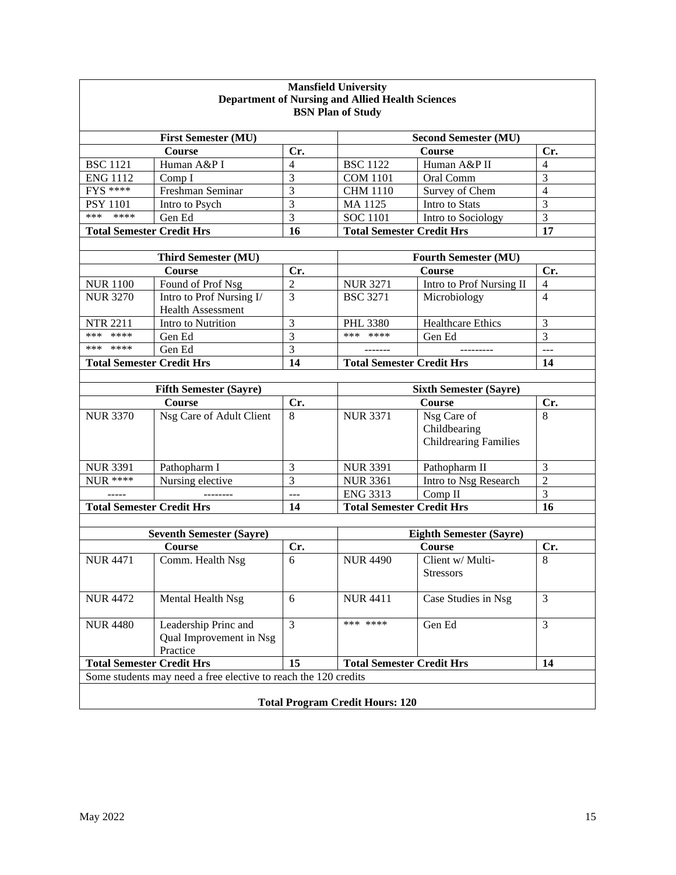| <b>Mansfield University</b><br><b>Department of Nursing and Allied Health Sciences</b><br><b>BSN Plan of Study</b> |                                                             |                |                                  |                                                             |                       |
|--------------------------------------------------------------------------------------------------------------------|-------------------------------------------------------------|----------------|----------------------------------|-------------------------------------------------------------|-----------------------|
|                                                                                                                    | <b>First Semester (MU)</b>                                  |                |                                  | <b>Second Semester (MU)</b>                                 |                       |
|                                                                                                                    | <b>Course</b>                                               | Cr.            |                                  | Course                                                      | Cr.                   |
| <b>BSC 1121</b>                                                                                                    | Human A&P I                                                 | 4              | <b>BSC 1122</b>                  | Human A&P II                                                | 4                     |
| <b>ENG 1112</b>                                                                                                    | Comp I                                                      | 3              | <b>COM 1101</b>                  | Oral Comm                                                   | 3                     |
| $FYS$ ****                                                                                                         | Freshman Seminar                                            | 3              | <b>CHM 1110</b>                  | Survey of Chem                                              | $\overline{4}$        |
| <b>PSY 1101</b>                                                                                                    | Intro to Psych                                              | 3              | MA 1125                          | Intro to Stats                                              | 3                     |
| ****<br>***                                                                                                        | Gen Ed                                                      | 3              | <b>SOC 1101</b>                  | Intro to Sociology                                          | 3                     |
| <b>Total Semester Credit Hrs</b>                                                                                   |                                                             | 16             | <b>Total Semester Credit Hrs</b> |                                                             | 17                    |
|                                                                                                                    | <b>Third Semester (MU)</b>                                  |                | <b>Fourth Semester (MU)</b>      |                                                             |                       |
|                                                                                                                    | Course                                                      | Cr.            |                                  | <b>Course</b>                                               |                       |
| <b>NUR 1100</b>                                                                                                    | Found of Prof Nsg                                           | $\overline{c}$ | <b>NUR 3271</b>                  | Intro to Prof Nursing II                                    | Cr.<br>$\overline{4}$ |
| <b>NUR 3270</b>                                                                                                    | Intro to Prof Nursing I/<br><b>Health Assessment</b>        | 3              | <b>BSC 3271</b>                  | Microbiology                                                | $\overline{4}$        |
| <b>NTR 2211</b>                                                                                                    | Intro to Nutrition                                          | 3              | PHL 3380                         | Healthcare Ethics                                           | 3                     |
| ****<br>***                                                                                                        | Gen Ed                                                      | 3              | *** ****                         | Gen Ed                                                      | 3                     |
| *** ****                                                                                                           | Gen Ed                                                      | 3              |                                  |                                                             | $\overline{a}$        |
| <b>Total Semester Credit Hrs</b>                                                                                   |                                                             | 14             | <b>Total Semester Credit Hrs</b> |                                                             | 14                    |
|                                                                                                                    |                                                             |                |                                  |                                                             |                       |
|                                                                                                                    | <b>Fifth Semester (Sayre)</b>                               |                | <b>Sixth Semester (Sayre)</b>    |                                                             |                       |
|                                                                                                                    | <b>Course</b>                                               | Cr.            |                                  | <b>Course</b>                                               | Cr.                   |
| <b>NUR 3370</b>                                                                                                    | Nsg Care of Adult Client                                    | 8              | <b>NUR 3371</b>                  | Nsg Care of<br>Childbearing<br><b>Childrearing Families</b> | 8                     |
| <b>NUR 3391</b>                                                                                                    | Pathopharm I                                                | 3              | <b>NUR 3391</b>                  | Pathopharm II                                               | 3                     |
| $NUR$ ****                                                                                                         | Nursing elective                                            | $\overline{3}$ | <b>NUR 3361</b>                  | Intro to Nsg Research                                       | $\overline{2}$        |
|                                                                                                                    |                                                             | ---            | <b>ENG 3313</b>                  | Comp II                                                     | $\overline{3}$        |
| <b>Total Semester Credit Hrs</b>                                                                                   |                                                             | 14             | <b>Total Semester Credit Hrs</b> |                                                             | 16                    |
|                                                                                                                    |                                                             |                |                                  |                                                             |                       |
|                                                                                                                    | <b>Seventh Semester (Sayre)</b><br>Course                   |                | <b>Eighth Semester (Sayre)</b>   |                                                             |                       |
| <b>NUR 4471</b>                                                                                                    | Comm. Health Nsg                                            | Cr.<br>6       | <b>NUR 4490</b>                  | <b>Course</b><br>Client w/ Multi-<br>Stressors              | Cr.<br>8              |
| <b>NUR 4472</b>                                                                                                    | Mental Health Nsg                                           | 6              | <b>NUR 4411</b>                  | Case Studies in Nsg                                         | 3                     |
| <b>NUR 4480</b>                                                                                                    | Leadership Princ and<br>Qual Improvement in Nsg<br>Practice | 3              | *** ****                         | Gen Ed                                                      | $\overline{3}$        |
| <b>Total Semester Credit Hrs</b><br>15<br><b>Total Semester Credit Hrs</b>                                         |                                                             |                |                                  | 14                                                          |                       |
| Some students may need a free elective to reach the 120 credits<br><b>Total Program Credit Hours: 120</b>          |                                                             |                |                                  |                                                             |                       |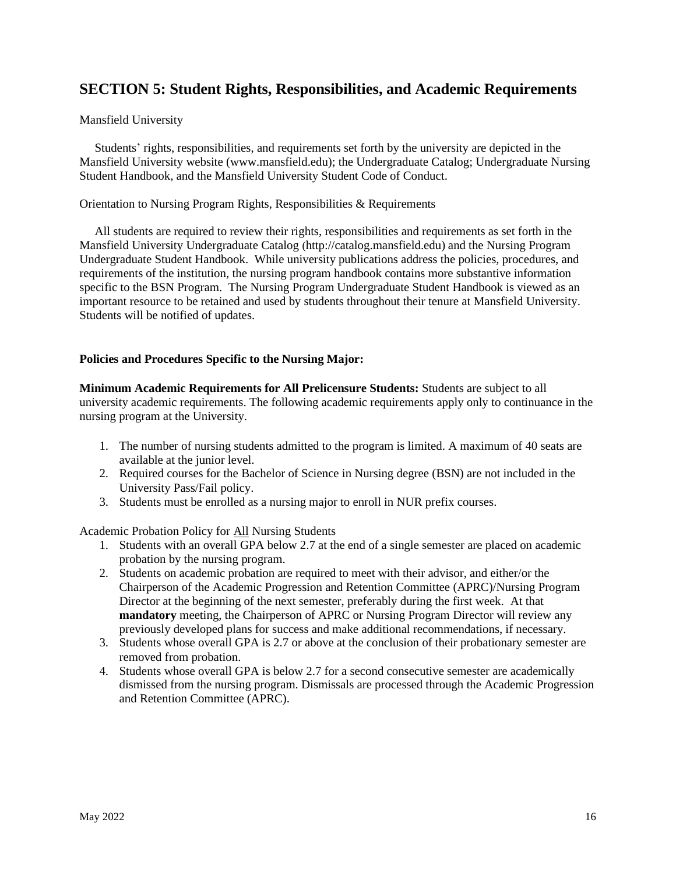## **SECTION 5: Student Rights, Responsibilities, and Academic Requirements**

#### Mansfield University

 Students' rights, responsibilities, and requirements set forth by the university are depicted in the Mansfield University website (www.mansfield.edu); the Undergraduate Catalog; Undergraduate Nursing Student Handbook, and the Mansfield University Student Code of Conduct.

#### Orientation to Nursing Program Rights, Responsibilities & Requirements

 All students are required to review their rights, responsibilities and requirements as set forth in the Mansfield University Undergraduate Catalog (http://catalog.mansfield.edu) and the Nursing Program Undergraduate Student Handbook. While university publications address the policies, procedures, and requirements of the institution, the nursing program handbook contains more substantive information specific to the BSN Program. The Nursing Program Undergraduate Student Handbook is viewed as an important resource to be retained and used by students throughout their tenure at Mansfield University. Students will be notified of updates.

#### **Policies and Procedures Specific to the Nursing Major:**

**Minimum Academic Requirements for All Prelicensure Students:** Students are subject to all university academic requirements. The following academic requirements apply only to continuance in the nursing program at the University.

- 1. The number of nursing students admitted to the program is limited. A maximum of 40 seats are available at the junior level.
- 2. Required courses for the Bachelor of Science in Nursing degree (BSN) are not included in the University Pass/Fail policy.
- 3. Students must be enrolled as a nursing major to enroll in NUR prefix courses.

Academic Probation Policy for All Nursing Students

- 1. Students with an overall GPA below 2.7 at the end of a single semester are placed on academic probation by the nursing program.
- 2. Students on academic probation are required to meet with their advisor, and either/or the Chairperson of the Academic Progression and Retention Committee (APRC)/Nursing Program Director at the beginning of the next semester, preferably during the first week. At that **mandatory** meeting, the Chairperson of APRC or Nursing Program Director will review any previously developed plans for success and make additional recommendations, if necessary.
- 3. Students whose overall GPA is 2.7 or above at the conclusion of their probationary semester are removed from probation.
- 4. Students whose overall GPA is below 2.7 for a second consecutive semester are academically dismissed from the nursing program. Dismissals are processed through the Academic Progression and Retention Committee (APRC).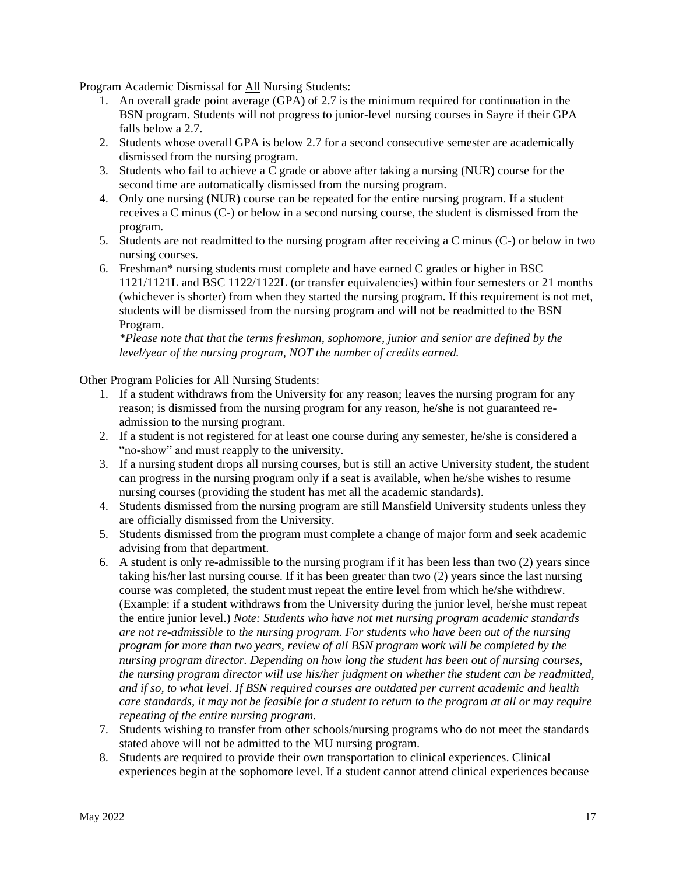Program Academic Dismissal for All Nursing Students:

- 1. An overall grade point average (GPA) of 2.7 is the minimum required for continuation in the BSN program. Students will not progress to junior-level nursing courses in Sayre if their GPA falls below a 2.7.
- 2. Students whose overall GPA is below 2.7 for a second consecutive semester are academically dismissed from the nursing program.
- 3. Students who fail to achieve a C grade or above after taking a nursing (NUR) course for the second time are automatically dismissed from the nursing program.
- 4. Only one nursing (NUR) course can be repeated for the entire nursing program. If a student receives a C minus (C-) or below in a second nursing course, the student is dismissed from the program.
- 5. Students are not readmitted to the nursing program after receiving a C minus (C-) or below in two nursing courses.
- 6. Freshman\* nursing students must complete and have earned C grades or higher in BSC 1121/1121L and BSC 1122/1122L (or transfer equivalencies) within four semesters or 21 months (whichever is shorter) from when they started the nursing program. If this requirement is not met, students will be dismissed from the nursing program and will not be readmitted to the BSN Program.

*\*Please note that that the terms freshman, sophomore, junior and senior are defined by the level/year of the nursing program, NOT the number of credits earned.*

Other Program Policies for All Nursing Students:

- 1. If a student withdraws from the University for any reason; leaves the nursing program for any reason; is dismissed from the nursing program for any reason, he/she is not guaranteed readmission to the nursing program.
- 2. If a student is not registered for at least one course during any semester, he/she is considered a "no-show" and must reapply to the university.
- 3. If a nursing student drops all nursing courses, but is still an active University student, the student can progress in the nursing program only if a seat is available, when he/she wishes to resume nursing courses (providing the student has met all the academic standards).
- 4. Students dismissed from the nursing program are still Mansfield University students unless they are officially dismissed from the University.
- 5. Students dismissed from the program must complete a change of major form and seek academic advising from that department.
- 6. A student is only re-admissible to the nursing program if it has been less than two (2) years since taking his/her last nursing course. If it has been greater than two (2) years since the last nursing course was completed, the student must repeat the entire level from which he/she withdrew. (Example: if a student withdraws from the University during the junior level, he/she must repeat the entire junior level.) *Note: Students who have not met nursing program academic standards are not re-admissible to the nursing program. For students who have been out of the nursing program for more than two years, review of all BSN program work will be completed by the nursing program director. Depending on how long the student has been out of nursing courses, the nursing program director will use his/her judgment on whether the student can be readmitted, and if so, to what level. If BSN required courses are outdated per current academic and health care standards, it may not be feasible for a student to return to the program at all or may require repeating of the entire nursing program.*
- 7. Students wishing to transfer from other schools/nursing programs who do not meet the standards stated above will not be admitted to the MU nursing program.
- 8. Students are required to provide their own transportation to clinical experiences. Clinical experiences begin at the sophomore level. If a student cannot attend clinical experiences because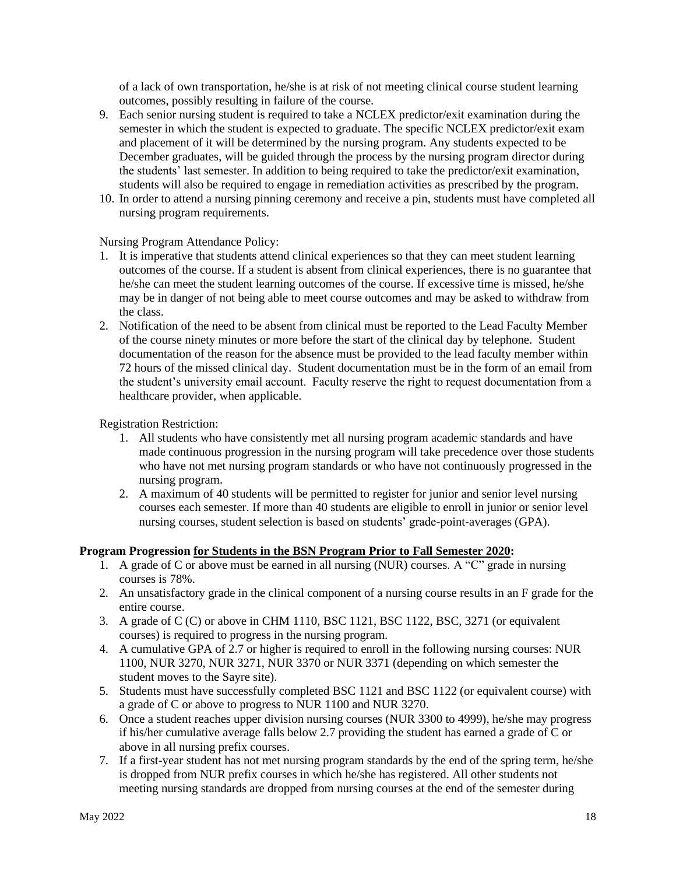of a lack of own transportation, he/she is at risk of not meeting clinical course student learning outcomes, possibly resulting in failure of the course.

- 9. Each senior nursing student is required to take a NCLEX predictor/exit examination during the semester in which the student is expected to graduate. The specific NCLEX predictor/exit exam and placement of it will be determined by the nursing program. Any students expected to be December graduates, will be guided through the process by the nursing program director during the students' last semester. In addition to being required to take the predictor/exit examination, students will also be required to engage in remediation activities as prescribed by the program.
- 10. In order to attend a nursing pinning ceremony and receive a pin, students must have completed all nursing program requirements.

#### Nursing Program Attendance Policy:

- 1. It is imperative that students attend clinical experiences so that they can meet student learning outcomes of the course. If a student is absent from clinical experiences, there is no guarantee that he/she can meet the student learning outcomes of the course. If excessive time is missed, he/she may be in danger of not being able to meet course outcomes and may be asked to withdraw from the class.
- 2. Notification of the need to be absent from clinical must be reported to the Lead Faculty Member of the course ninety minutes or more before the start of the clinical day by telephone. Student documentation of the reason for the absence must be provided to the lead faculty member within 72 hours of the missed clinical day. Student documentation must be in the form of an email from the student's university email account. Faculty reserve the right to request documentation from a healthcare provider, when applicable.

Registration Restriction:

- 1. All students who have consistently met all nursing program academic standards and have made continuous progression in the nursing program will take precedence over those students who have not met nursing program standards or who have not continuously progressed in the nursing program.
- 2. A maximum of 40 students will be permitted to register for junior and senior level nursing courses each semester. If more than 40 students are eligible to enroll in junior or senior level nursing courses, student selection is based on students' grade-point-averages (GPA).

#### **Program Progression for Students in the BSN Program Prior to Fall Semester 2020:**

- 1. A grade of C or above must be earned in all nursing (NUR) courses. A "C" grade in nursing courses is 78%.
- 2. An unsatisfactory grade in the clinical component of a nursing course results in an F grade for the entire course.
- 3. A grade of C (C) or above in CHM 1110, BSC 1121, BSC 1122, BSC, 3271 (or equivalent courses) is required to progress in the nursing program.
- 4. A cumulative GPA of 2.7 or higher is required to enroll in the following nursing courses: NUR 1100, NUR 3270, NUR 3271, NUR 3370 or NUR 3371 (depending on which semester the student moves to the Sayre site).
- 5. Students must have successfully completed BSC 1121 and BSC 1122 (or equivalent course) with a grade of C or above to progress to NUR 1100 and NUR 3270.
- 6. Once a student reaches upper division nursing courses (NUR 3300 to 4999), he/she may progress if his/her cumulative average falls below 2.7 providing the student has earned a grade of C or above in all nursing prefix courses.
- 7. If a first-year student has not met nursing program standards by the end of the spring term, he/she is dropped from NUR prefix courses in which he/she has registered. All other students not meeting nursing standards are dropped from nursing courses at the end of the semester during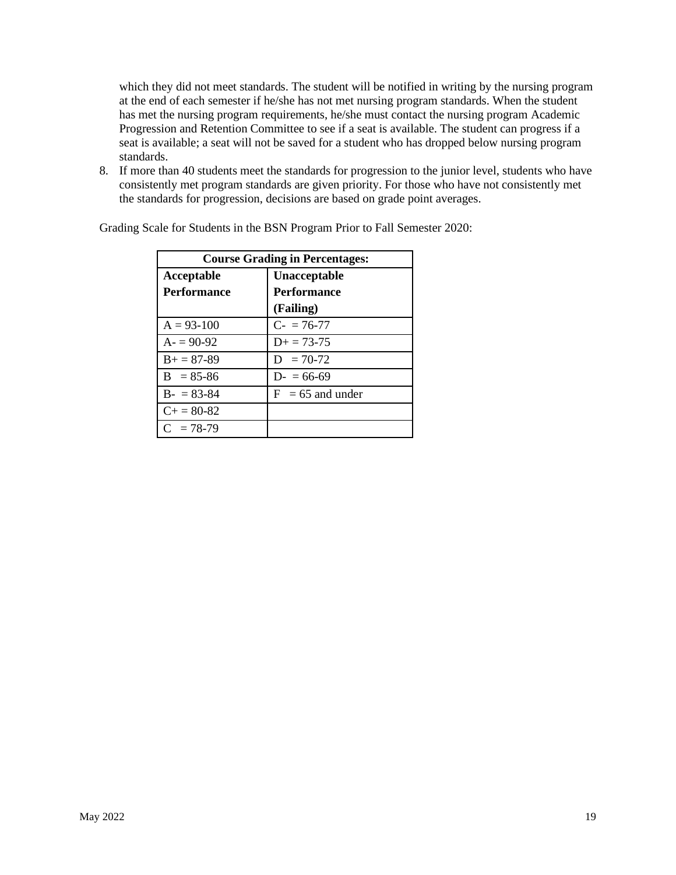which they did not meet standards. The student will be notified in writing by the nursing program at the end of each semester if he/she has not met nursing program standards. When the student has met the nursing program requirements, he/she must contact the nursing program Academic Progression and Retention Committee to see if a seat is available. The student can progress if a seat is available; a seat will not be saved for a student who has dropped below nursing program standards.

8. If more than 40 students meet the standards for progression to the junior level, students who have consistently met program standards are given priority. For those who have not consistently met the standards for progression, decisions are based on grade point averages.

| <b>Course Grading in Percentages:</b> |                     |  |  |
|---------------------------------------|---------------------|--|--|
| Acceptable                            | Unacceptable        |  |  |
| <b>Performance</b>                    | <b>Performance</b>  |  |  |
|                                       | (Failing)           |  |  |
| $A = 93-100$                          | $C = 76-77$         |  |  |
| $A = 90-92$                           | $D_{\pm} = 73 - 75$ |  |  |
| $B_{+} = 87 - 89$                     | $D = 70-72$         |  |  |
| $B = 85-86$                           | $D = 66-69$         |  |  |
| $B - 83 - 84$                         | $F = 65$ and under  |  |  |
| $C_{\pm} = 80 - 82$                   |                     |  |  |
| $C = 78-79$                           |                     |  |  |

Grading Scale for Students in the BSN Program Prior to Fall Semester 2020: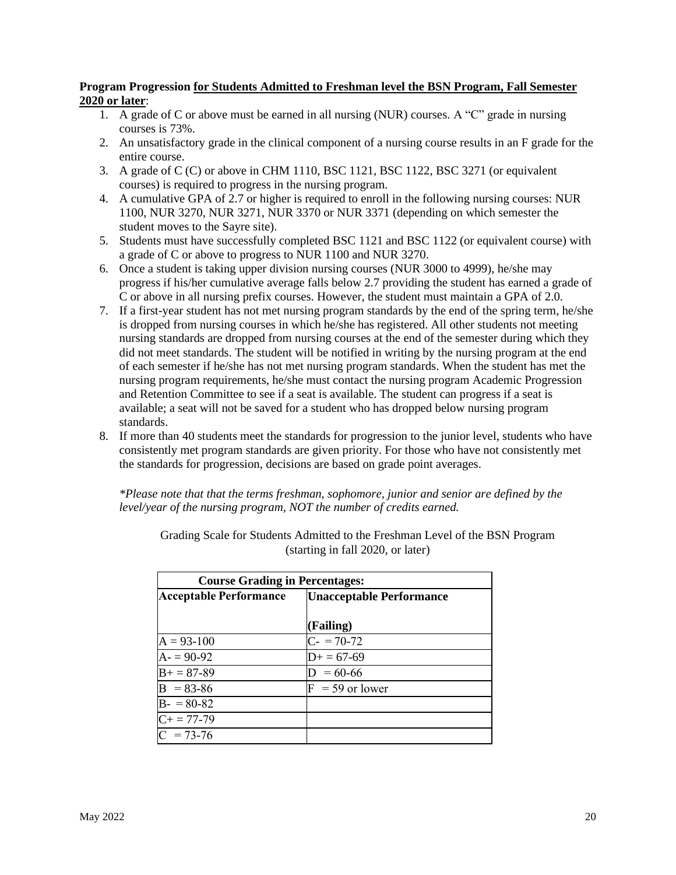#### **Program Progression for Students Admitted to Freshman level the BSN Program, Fall Semester 2020 or later**:

- 1. A grade of C or above must be earned in all nursing (NUR) courses. A "C" grade in nursing courses is 73%.
- 2. An unsatisfactory grade in the clinical component of a nursing course results in an F grade for the entire course.
- 3. A grade of C (C) or above in CHM 1110, BSC 1121, BSC 1122, BSC 3271 (or equivalent courses) is required to progress in the nursing program.
- 4. A cumulative GPA of 2.7 or higher is required to enroll in the following nursing courses: NUR 1100, NUR 3270, NUR 3271, NUR 3370 or NUR 3371 (depending on which semester the student moves to the Sayre site).
- 5. Students must have successfully completed BSC 1121 and BSC 1122 (or equivalent course) with a grade of C or above to progress to NUR 1100 and NUR 3270.
- 6. Once a student is taking upper division nursing courses (NUR 3000 to 4999), he/she may progress if his/her cumulative average falls below 2.7 providing the student has earned a grade of C or above in all nursing prefix courses. However, the student must maintain a GPA of 2.0.
- 7. If a first-year student has not met nursing program standards by the end of the spring term, he/she is dropped from nursing courses in which he/she has registered. All other students not meeting nursing standards are dropped from nursing courses at the end of the semester during which they did not meet standards. The student will be notified in writing by the nursing program at the end of each semester if he/she has not met nursing program standards. When the student has met the nursing program requirements, he/she must contact the nursing program Academic Progression and Retention Committee to see if a seat is available. The student can progress if a seat is available; a seat will not be saved for a student who has dropped below nursing program standards.
- 8. If more than 40 students meet the standards for progression to the junior level, students who have consistently met program standards are given priority. For those who have not consistently met the standards for progression, decisions are based on grade point averages.

*\*Please note that that the terms freshman, sophomore, junior and senior are defined by the level/year of the nursing program, NOT the number of credits earned.*

| <b>Course Grading in Percentages:</b> |                                 |  |  |  |
|---------------------------------------|---------------------------------|--|--|--|
| <b>Acceptable Performance</b>         | <b>Unacceptable Performance</b> |  |  |  |
|                                       |                                 |  |  |  |
|                                       | (Failing)                       |  |  |  |
| $A = 93-100$                          | $C = 70-72$                     |  |  |  |
| $A = 90-92$                           | $D+ = 67-69$                    |  |  |  |
| $\overline{B+} = 87-89$               | $= 60 - 66$                     |  |  |  |
| $B = 83-86$                           | $F = 59$ or lower               |  |  |  |
| $B - 80-82$                           |                                 |  |  |  |
| $C_{+} = 77-79$                       |                                 |  |  |  |
| $\overline{C}$ = 73-76                |                                 |  |  |  |

Grading Scale for Students Admitted to the Freshman Level of the BSN Program (starting in fall 2020, or later)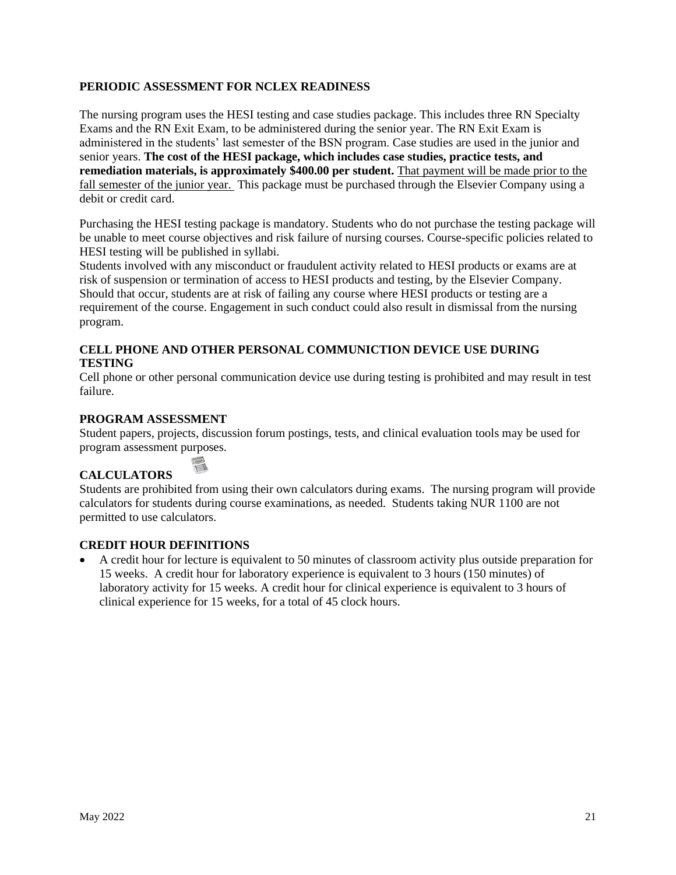#### **PERIODIC ASSESSMENT FOR NCLEX READINESS**

The nursing program uses the HESI testing and case studies package. This includes three RN Specialty Exams and the RN Exit Exam, to be administered during the senior year. The RN Exit Exam is administered in the students' last semester of the BSN program. Case studies are used in the junior and senior years. **The cost of the HESI package, which includes case studies, practice tests, and remediation materials, is approximately \$400.00 per student.** That payment will be made prior to the fall semester of the junior year. This package must be purchased through the Elsevier Company using a debit or credit card.

Purchasing the HESI testing package is mandatory. Students who do not purchase the testing package will be unable to meet course objectives and risk failure of nursing courses. Course-specific policies related to HESI testing will be published in syllabi.

Students involved with any misconduct or fraudulent activity related to HESI products or exams are at risk of suspension or termination of access to HESI products and testing, by the Elsevier Company. Should that occur, students are at risk of failing any course where HESI products or testing are a requirement of the course. Engagement in such conduct could also result in dismissal from the nursing program.

#### **CELL PHONE AND OTHER PERSONAL COMMUNICTION DEVICE USE DURING TESTING**

Cell phone or other personal communication device use during testing is prohibited and may result in test failure.

#### **PROGRAM ASSESSMENT**

Student papers, projects, discussion forum postings, tests, and clinical evaluation tools may be used for program assessment purposes.

### **CALCULATORS**

Students are prohibited from using their own calculators during exams. The nursing program will provide calculators for students during course examinations, as needed. Students taking NUR 1100 are not permitted to use calculators.

#### **CREDIT HOUR DEFINITIONS**

**Loss** 

• A credit hour for lecture is equivalent to 50 minutes of classroom activity plus outside preparation for 15 weeks. A credit hour for laboratory experience is equivalent to 3 hours (150 minutes) of laboratory activity for 15 weeks. A credit hour for clinical experience is equivalent to 3 hours of clinical experience for 15 weeks, for a total of 45 clock hours.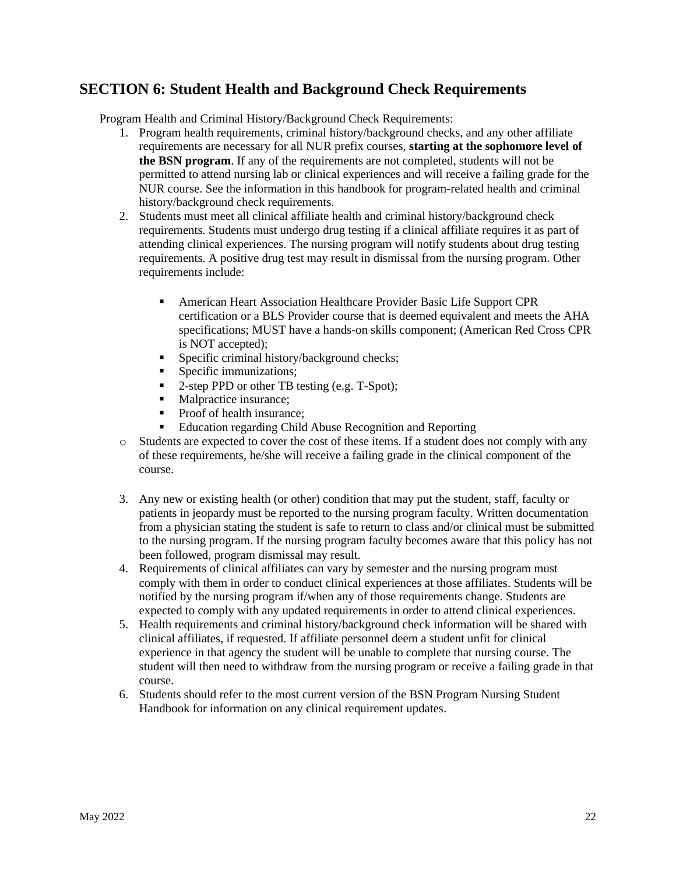## **SECTION 6: Student Health and Background Check Requirements**

Program Health and Criminal History/Background Check Requirements:

- 1. Program health requirements, criminal history/background checks, and any other affiliate requirements are necessary for all NUR prefix courses, **starting at the sophomore level of the BSN program**. If any of the requirements are not completed, students will not be permitted to attend nursing lab or clinical experiences and will receive a failing grade for the NUR course. See the information in this handbook for program-related health and criminal history/background check requirements.
- 2. Students must meet all clinical affiliate health and criminal history/background check requirements. Students must undergo drug testing if a clinical affiliate requires it as part of attending clinical experiences. The nursing program will notify students about drug testing requirements. A positive drug test may result in dismissal from the nursing program. Other requirements include:
	- **EXECUTE:** American Heart Association Healthcare Provider Basic Life Support CPR certification or a BLS Provider course that is deemed equivalent and meets the AHA specifications; MUST have a hands-on skills component; (American Red Cross CPR is NOT accepted);
	- **•** Specific criminal history/background checks;
	- Specific immunizations;
	- 2-step PPD or other TB testing (e.g. T-Spot);
	- Malpractice insurance;
	- Proof of health insurance;
	- Education regarding Child Abuse Recognition and Reporting
- o Students are expected to cover the cost of these items. If a student does not comply with any of these requirements, he/she will receive a failing grade in the clinical component of the course.
- 3. Any new or existing health (or other) condition that may put the student, staff, faculty or patients in jeopardy must be reported to the nursing program faculty. Written documentation from a physician stating the student is safe to return to class and/or clinical must be submitted to the nursing program. If the nursing program faculty becomes aware that this policy has not been followed, program dismissal may result.
- 4. Requirements of clinical affiliates can vary by semester and the nursing program must comply with them in order to conduct clinical experiences at those affiliates. Students will be notified by the nursing program if/when any of those requirements change. Students are expected to comply with any updated requirements in order to attend clinical experiences.
- 5. Health requirements and criminal history/background check information will be shared with clinical affiliates, if requested. If affiliate personnel deem a student unfit for clinical experience in that agency the student will be unable to complete that nursing course. The student will then need to withdraw from the nursing program or receive a failing grade in that course.
- 6. Students should refer to the most current version of the BSN Program Nursing Student Handbook for information on any clinical requirement updates.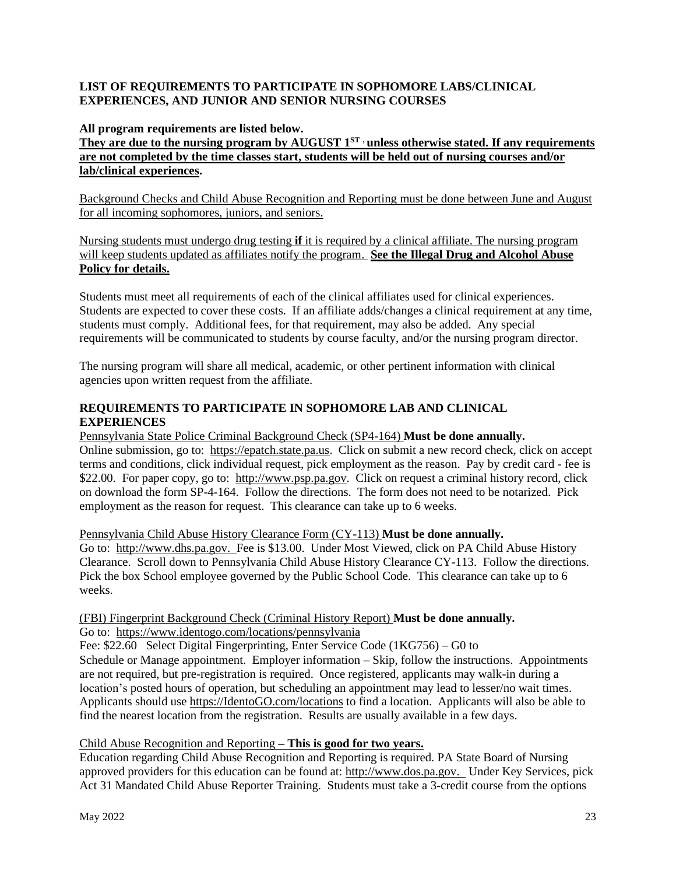#### **LIST OF REQUIREMENTS TO PARTICIPATE IN SOPHOMORE LABS/CLINICAL EXPERIENCES, AND JUNIOR AND SENIOR NURSING COURSES**

#### **All program requirements are listed below.**

**They are due to the nursing program by AUGUST 1ST , unless otherwise stated. If any requirements are not completed by the time classes start, students will be held out of nursing courses and/or lab/clinical experiences.** 

Background Checks and Child Abuse Recognition and Reporting must be done between June and August for all incoming sophomores, juniors, and seniors.

Nursing students must undergo drug testing **if** it is required by a clinical affiliate. The nursing program will keep students updated as affiliates notify the program. **See the Illegal Drug and Alcohol Abuse Policy for details.** 

Students must meet all requirements of each of the clinical affiliates used for clinical experiences. Students are expected to cover these costs. If an affiliate adds/changes a clinical requirement at any time, students must comply. Additional fees, for that requirement, may also be added. Any special requirements will be communicated to students by course faculty, and/or the nursing program director.

The nursing program will share all medical, academic, or other pertinent information with clinical agencies upon written request from the affiliate.

#### **REQUIREMENTS TO PARTICIPATE IN SOPHOMORE LAB AND CLINICAL EXPERIENCES**

#### Pennsylvania State Police Criminal Background Check (SP4-164) **Must be done annually.**

Online submission, go to: [https://epatch.state.pa.us.](https://epatch.state.pa.us/) Click on submit a new record check, click on accept terms and conditions, click individual request, pick employment as the reason. Pay by credit card - fee is \$22.00. For paper copy, go to: [http://www.psp.pa.gov.](http://www.psp.pa.gov/) Click on request a criminal history record, click on download the form SP-4-164. Follow the directions. The form does not need to be notarized. Pick employment as the reason for request. This clearance can take up to 6 weeks.

#### Pennsylvania Child Abuse History Clearance Form (CY-113) **Must be done annually.**

Go to: [http://www.dhs.pa.gov.](http://www.dhs.pa.gov/) Fee is \$13.00. Under Most Viewed, click on PA Child Abuse History Clearance. Scroll down to Pennsylvania Child Abuse History Clearance CY-113. Follow the directions. Pick the box School employee governed by the Public School Code. This clearance can take up to 6 weeks.

#### (FBI) Fingerprint Background Check (Criminal History Report) **Must be done annually.** Go to: <https://www.identogo.com/locations/pennsylvania>

Fee: \$22.60 Select Digital Fingerprinting, Enter Service Code (1KG756) – G0 to Schedule or Manage appointment. Employer information – Skip, follow the instructions. Appointments are not required, but pre-registration is required. Once registered, applicants may walk-in during a location's posted hours of operation, but scheduling an appointment may lead to lesser/no wait times. Applicants should use [https://IdentoGO.com/locations](https://identogo.com/locations) to find a location. Applicants will also be able to find the nearest location from the registration. Results are usually available in a few days.

#### Child Abuse Recognition and Reporting **– This is good for two years.**

Education regarding Child Abuse Recognition and Reporting is required. PA State Board of Nursing approved providers for this education can be found at: [http://www.dos.pa.gov.](http://www.dos.pa.gov/) Under Key Services, pick Act 31 Mandated Child Abuse Reporter Training. Students must take a 3-credit course from the options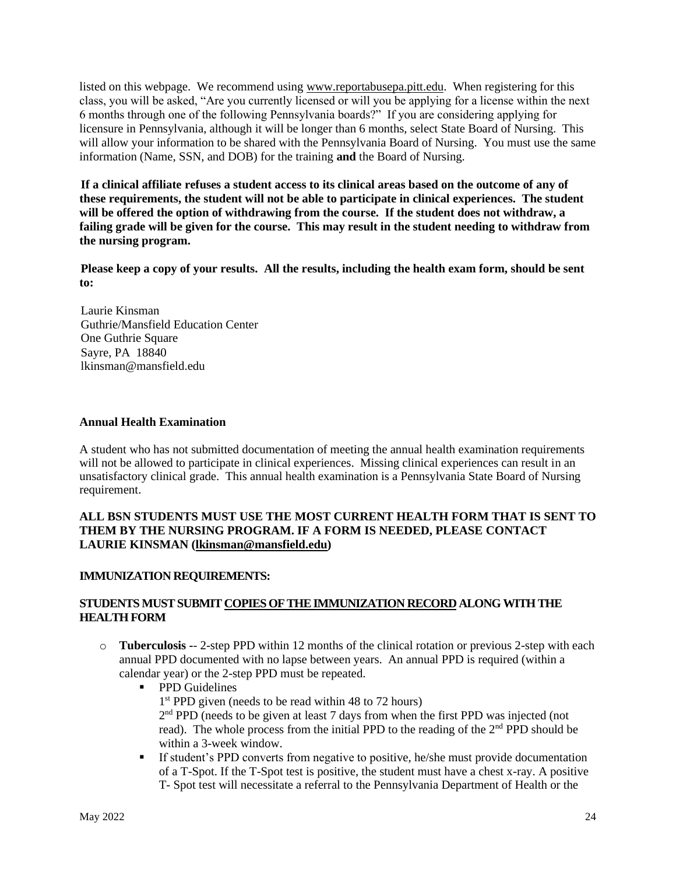listed on this webpage. We recommend using [www.reportabusepa.pitt.edu.](http://www.reportabusepa.pitt.edu/) When registering for this class, you will be asked, "Are you currently licensed or will you be applying for a license within the next 6 months through one of the following Pennsylvania boards?" If you are considering applying for licensure in Pennsylvania, although it will be longer than 6 months, select State Board of Nursing. This will allow your information to be shared with the Pennsylvania Board of Nursing. You must use the same information (Name, SSN, and DOB) for the training **and** the Board of Nursing.

**If a clinical affiliate refuses a student access to its clinical areas based on the outcome of any of these requirements, the student will not be able to participate in clinical experiences. The student will be offered the option of withdrawing from the course. If the student does not withdraw, a failing grade will be given for the course. This may result in the student needing to withdraw from the nursing program.**

**Please keep a copy of your results. All the results, including the health exam form, should be sent to:**

Laurie Kinsman Guthrie/Mansfield Education Center One Guthrie Square Sayre, PA 18840 lkinsman@mansfield.edu

#### **Annual Health Examination**

A student who has not submitted documentation of meeting the annual health examination requirements will not be allowed to participate in clinical experiences. Missing clinical experiences can result in an unsatisfactory clinical grade. This annual health examination is a Pennsylvania State Board of Nursing requirement.

#### **ALL BSN STUDENTS MUST USE THE MOST CURRENT HEALTH FORM THAT IS SENT TO THEM BY THE NURSING PROGRAM. IF A FORM IS NEEDED, PLEASE CONTACT LAURIE KINSMAN [\(lkinsman@mansfield.edu\)](mailto:lkinsman@mansfield.edu)**

#### **IMMUNIZATION REQUIREMENTS:**

#### **STUDENTS MUST SUBMIT COPIES OF THE IMMUNIZATION RECORD ALONG WITH THE HEALTH FORM**

- o **Tuberculosis -** 2-step PPD within 12 months of the clinical rotation or previous 2-step with each annual PPD documented with no lapse between years. An annual PPD is required (within a calendar year) or the 2-step PPD must be repeated.
	- PPD Guidelines 1<sup>st</sup> PPD given (needs to be read within 48 to 72 hours) 2<sup>nd</sup> PPD (needs to be given at least 7 days from when the first PPD was injected (not read). The whole process from the initial PPD to the reading of the 2<sup>nd</sup> PPD should be within a 3-week window.
	- **If student's PPD converts from negative to positive, he/she must provide documentation** of a T-Spot. If the T-Spot test is positive, the student must have a chest x-ray. A positive T- Spot test will necessitate a referral to the Pennsylvania Department of Health or the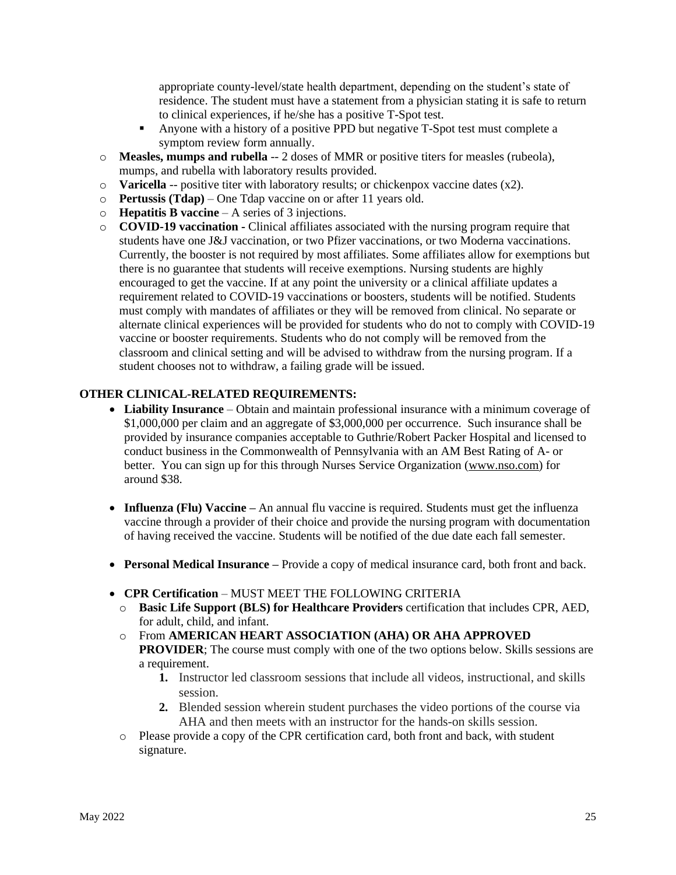appropriate county-level/state health department, depending on the student's state of residence. The student must have a statement from a physician stating it is safe to return to clinical experiences, if he/she has a positive T-Spot test.

- Anyone with a history of a positive PPD but negative T-Spot test must complete a symptom review form annually.
- o **Measles, mumps and rubella** -- 2 doses of MMR or positive titers for measles (rubeola), mumps, and rubella with laboratory results provided.
- o **Varicella** -- positive titer with laboratory results; or chickenpox vaccine dates (x2).
- o **Pertussis (Tdap)**  One Tdap vaccine on or after 11 years old.
- o **Hepatitis B vaccine** A series of 3 injections.
- o **COVID-19 vaccination -** Clinical affiliates associated with the nursing program require that students have one J&J vaccination, or two Pfizer vaccinations, or two Moderna vaccinations. Currently, the booster is not required by most affiliates. Some affiliates allow for exemptions but there is no guarantee that students will receive exemptions. Nursing students are highly encouraged to get the vaccine. If at any point the university or a clinical affiliate updates a requirement related to COVID-19 vaccinations or boosters, students will be notified. Students must comply with mandates of affiliates or they will be removed from clinical. No separate or alternate clinical experiences will be provided for students who do not to comply with COVID-19 vaccine or booster requirements. Students who do not comply will be removed from the classroom and clinical setting and will be advised to withdraw from the nursing program. If a student chooses not to withdraw, a failing grade will be issued.

### **OTHER CLINICAL-RELATED REQUIREMENTS:**

- **Liability Insurance**  Obtain and maintain professional insurance with a minimum coverage of \$1,000,000 per claim and an aggregate of \$3,000,000 per occurrence. Such insurance shall be provided by insurance companies acceptable to Guthrie/Robert Packer Hospital and licensed to conduct business in the Commonwealth of Pennsylvania with an AM Best Rating of A- or better. You can sign up for this through Nurses Service Organization [\(www.nso.com\)](http://www.nso.com/) for around \$38.
- **Influenza (Flu) Vaccine** An annual flu vaccine is required. Students must get the influenza vaccine through a provider of their choice and provide the nursing program with documentation of having received the vaccine. Students will be notified of the due date each fall semester.
- **Personal Medical Insurance –** Provide a copy of medical insurance card, both front and back.
- **CPR Certification**  MUST MEET THE FOLLOWING CRITERIA
	- o **Basic Life Support (BLS) for Healthcare Providers** certification that includes CPR, AED, for adult, child, and infant.
	- o From **AMERICAN HEART ASSOCIATION (AHA) OR AHA APPROVED PROVIDER**; The course must comply with one of the two options below. Skills sessions are a requirement.
		- **1.** Instructor led classroom sessions that include all videos, instructional, and skills session.
		- **2.** Blended session wherein student purchases the video portions of the course via AHA and then meets with an instructor for the hands-on skills session.
	- o Please provide a copy of the CPR certification card, both front and back, with student signature.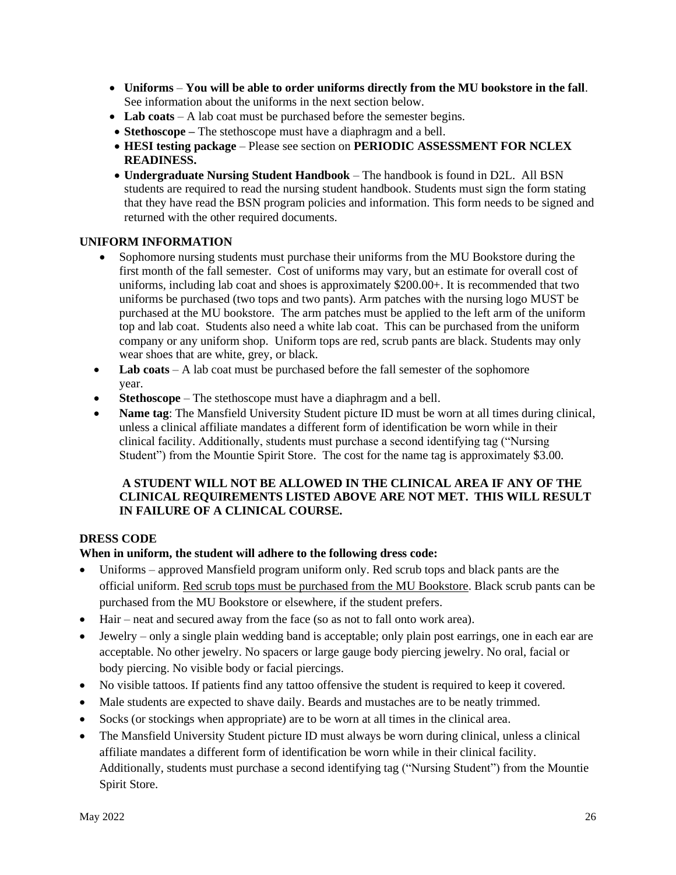- **Uniforms You will be able to order uniforms directly from the MU bookstore in the fall**. See information about the uniforms in the next section below.
- Lab coats A lab coat must be purchased before the semester begins.
- **Stethoscope –** The stethoscope must have a diaphragm and a bell.
- **HESI testing package** Please see section on **PERIODIC ASSESSMENT FOR NCLEX READINESS.**
- **Undergraduate Nursing Student Handbook**  The handbook is found in D2L. All BSN students are required to read the nursing student handbook. Students must sign the form stating that they have read the BSN program policies and information. This form needs to be signed and returned with the other required documents.

#### **UNIFORM INFORMATION**

- Sophomore nursing students must purchase their uniforms from the MU Bookstore during the first month of the fall semester. Cost of uniforms may vary, but an estimate for overall cost of uniforms, including lab coat and shoes is approximately \$200.00+. It is recommended that two uniforms be purchased (two tops and two pants). Arm patches with the nursing logo MUST be purchased at the MU bookstore. The arm patches must be applied to the left arm of the uniform top and lab coat. Students also need a white lab coat. This can be purchased from the uniform company or any uniform shop. Uniform tops are red, scrub pants are black. Students may only wear shoes that are white, grey, or black.
- Lab coats A lab coat must be purchased before the fall semester of the sophomore year.
- **Stethoscope**  The stethoscope must have a diaphragm and a bell.
- **Name tag**: The Mansfield University Student picture ID must be worn at all times during clinical, unless a clinical affiliate mandates a different form of identification be worn while in their clinical facility. Additionally, students must purchase a second identifying tag ("Nursing Student") from the Mountie Spirit Store. The cost for the name tag is approximately \$3.00.

#### **A STUDENT WILL NOT BE ALLOWED IN THE CLINICAL AREA IF ANY OF THE CLINICAL REQUIREMENTS LISTED ABOVE ARE NOT MET. THIS WILL RESULT IN FAILURE OF A CLINICAL COURSE.**

#### **DRESS CODE**

#### **When in uniform, the student will adhere to the following dress code:**

- Uniforms approved Mansfield program uniform only. Red scrub tops and black pants are the official uniform. Red scrub tops must be purchased from the MU Bookstore. Black scrub pants can be purchased from the MU Bookstore or elsewhere, if the student prefers.
- Hair neat and secured away from the face (so as not to fall onto work area).
- Jewelry only a single plain wedding band is acceptable; only plain post earrings, one in each ear are acceptable. No other jewelry. No spacers or large gauge body piercing jewelry. No oral, facial or body piercing. No visible body or facial piercings.
- No visible tattoos. If patients find any tattoo offensive the student is required to keep it covered.
- Male students are expected to shave daily. Beards and mustaches are to be neatly trimmed.
- Socks (or stockings when appropriate) are to be worn at all times in the clinical area.
- The Mansfield University Student picture ID must always be worn during clinical, unless a clinical affiliate mandates a different form of identification be worn while in their clinical facility. Additionally, students must purchase a second identifying tag ("Nursing Student") from the Mountie Spirit Store.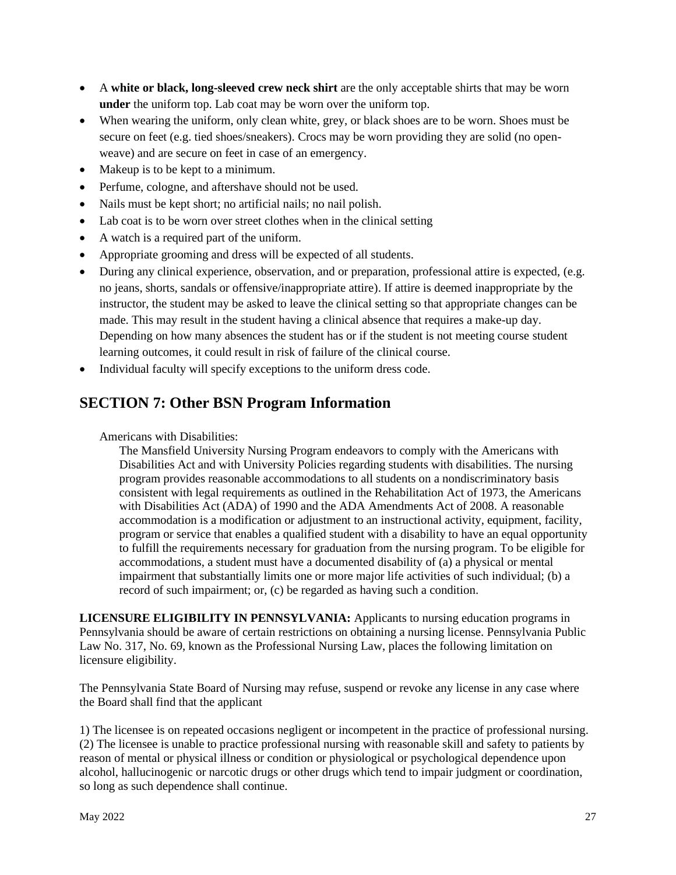- A **white or black, long-sleeved crew neck shirt** are the only acceptable shirts that may be worn **under** the uniform top. Lab coat may be worn over the uniform top.
- When wearing the uniform, only clean white, grey, or black shoes are to be worn. Shoes must be secure on feet (e.g. tied shoes/sneakers). Crocs may be worn providing they are solid (no openweave) and are secure on feet in case of an emergency.
- Makeup is to be kept to a minimum.
- Perfume, cologne, and aftershave should not be used.
- Nails must be kept short; no artificial nails; no nail polish.
- Lab coat is to be worn over street clothes when in the clinical setting
- A watch is a required part of the uniform.
- Appropriate grooming and dress will be expected of all students.
- During any clinical experience, observation, and or preparation, professional attire is expected, (e.g. no jeans, shorts, sandals or offensive/inappropriate attire). If attire is deemed inappropriate by the instructor, the student may be asked to leave the clinical setting so that appropriate changes can be made. This may result in the student having a clinical absence that requires a make-up day. Depending on how many absences the student has or if the student is not meeting course student learning outcomes, it could result in risk of failure of the clinical course.
- Individual faculty will specify exceptions to the uniform dress code.

## **SECTION 7: Other BSN Program Information**

Americans with Disabilities:

The Mansfield University Nursing Program endeavors to comply with the Americans with Disabilities Act and with University Policies regarding students with disabilities. The nursing program provides reasonable accommodations to all students on a nondiscriminatory basis consistent with legal requirements as outlined in the Rehabilitation Act of 1973, the Americans with Disabilities Act (ADA) of 1990 and the ADA Amendments Act of 2008. A reasonable accommodation is a modification or adjustment to an instructional activity, equipment, facility, program or service that enables a qualified student with a disability to have an equal opportunity to fulfill the requirements necessary for graduation from the nursing program. To be eligible for accommodations, a student must have a documented disability of (a) a physical or mental impairment that substantially limits one or more major life activities of such individual; (b) a record of such impairment; or, (c) be regarded as having such a condition.

**LICENSURE ELIGIBILITY IN PENNSYLVANIA:** Applicants to nursing education programs in Pennsylvania should be aware of certain restrictions on obtaining a nursing license. Pennsylvania Public Law No. 317, No. 69, known as the Professional Nursing Law, places the following limitation on licensure eligibility.

The Pennsylvania State Board of Nursing may refuse, suspend or revoke any license in any case where the Board shall find that the applicant

1) The licensee is on repeated occasions negligent or incompetent in the practice of professional nursing. (2) The licensee is unable to practice professional nursing with reasonable skill and safety to patients by reason of mental or physical illness or condition or physiological or psychological dependence upon alcohol, hallucinogenic or narcotic drugs or other drugs which tend to impair judgment or coordination, so long as such dependence shall continue.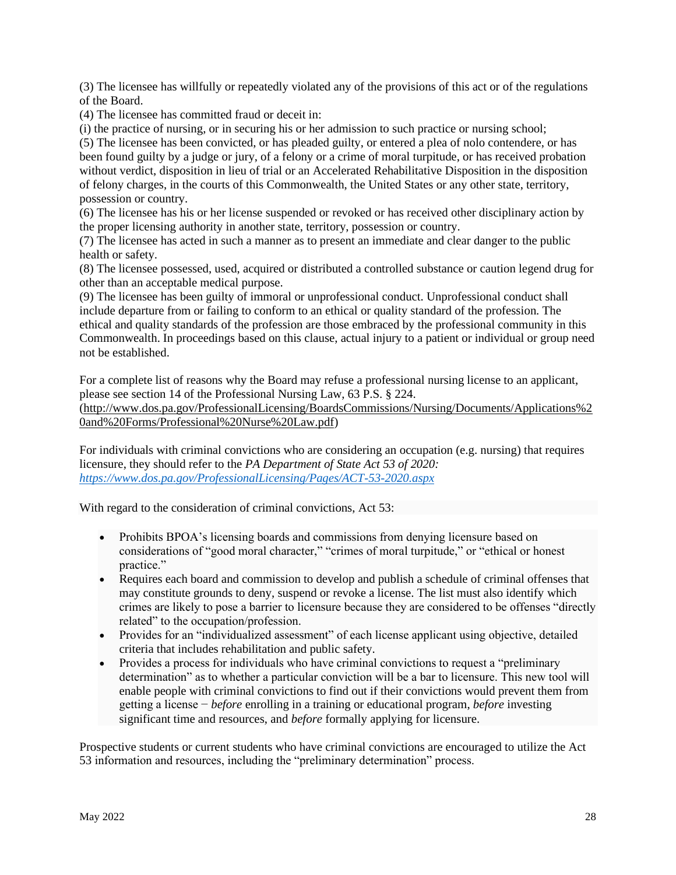(3) The licensee has willfully or repeatedly violated any of the provisions of this act or of the regulations of the Board.

(4) The licensee has committed fraud or deceit in:

(i) the practice of nursing, or in securing his or her admission to such practice or nursing school;

(5) The licensee has been convicted, or has pleaded guilty, or entered a plea of nolo contendere, or has been found guilty by a judge or jury, of a felony or a crime of moral turpitude, or has received probation without verdict, disposition in lieu of trial or an Accelerated Rehabilitative Disposition in the disposition of felony charges, in the courts of this Commonwealth, the United States or any other state, territory, possession or country.

(6) The licensee has his or her license suspended or revoked or has received other disciplinary action by the proper licensing authority in another state, territory, possession or country.

(7) The licensee has acted in such a manner as to present an immediate and clear danger to the public health or safety.

(8) The licensee possessed, used, acquired or distributed a controlled substance or caution legend drug for other than an acceptable medical purpose.

(9) The licensee has been guilty of immoral or unprofessional conduct. Unprofessional conduct shall include departure from or failing to conform to an ethical or quality standard of the profession. The ethical and quality standards of the profession are those embraced by the professional community in this Commonwealth. In proceedings based on this clause, actual injury to a patient or individual or group need not be established.

For a complete list of reasons why the Board may refuse a professional nursing license to an applicant, please see section 14 of the Professional Nursing Law, 63 P.S. § 224.

[\(http://www.dos.pa.gov/ProfessionalLicensing/BoardsCommissions/Nursing/Documents/Applications%2](http://www.dos.pa.gov/ProfessionalLicensing/BoardsCommissions/Nursing/Documents/Applications%20and%20Forms/Professional%20Nurse%20Law.pdf) [0and%20Forms/Professional%20Nurse%20Law.pdf\)](http://www.dos.pa.gov/ProfessionalLicensing/BoardsCommissions/Nursing/Documents/Applications%20and%20Forms/Professional%20Nurse%20Law.pdf)

For individuals with criminal convictions who are considering an occupation (e.g. nursing) that requires licensure, they should refer to the *PA Department of State Act 53 of 2020: <https://www.dos.pa.gov/ProfessionalLicensing/Pages/ACT-53-2020.aspx>*

With regard to the consideration of criminal convictions, Act 53:

- Prohibits BPOA's licensing boards and commissions from denying licensure based on considerations of "good moral character," "crimes of moral turpitude," or "ethical or honest practice."
- Requires each board and commission to develop and publish a schedule of criminal offenses that may constitute grounds to deny, suspend or revoke a license. The list must also identify which crimes are likely to pose a barrier to licensure because they are considered to be offenses "directly related" to the occupation/profession.
- Provides for an "individualized assessment" of each license applicant using objective, detailed criteria that includes rehabilitation and public safety.
- Provides a process for individuals who have criminal convictions to request a "preliminary" determination" as to whether a particular conviction will be a bar to licensure. This new tool will enable people with criminal convictions to find out if their convictions would prevent them from getting a license − *before* enrolling in a training or educational program, *before* investing significant time and resources, and *before* formally applying for licensure.

Prospective students or current students who have criminal convictions are encouraged to utilize the Act 53 information and resources, including the "preliminary determination" process.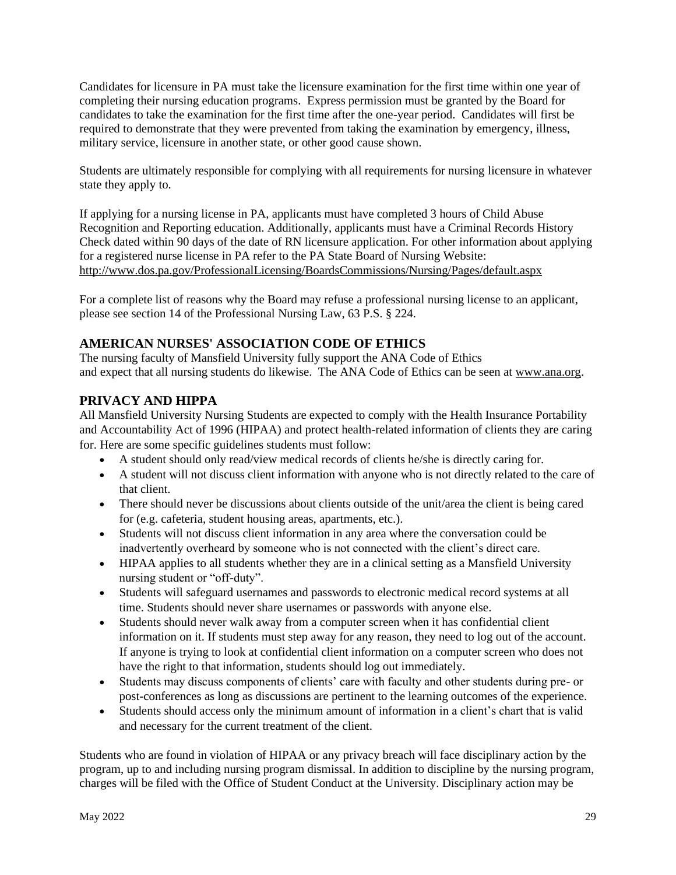Candidates for licensure in PA must take the licensure examination for the first time within one year of completing their nursing education programs. Express permission must be granted by the Board for candidates to take the examination for the first time after the one-year period. Candidates will first be required to demonstrate that they were prevented from taking the examination by emergency, illness, military service, licensure in another state, or other good cause shown.

Students are ultimately responsible for complying with all requirements for nursing licensure in whatever state they apply to.

If applying for a nursing license in PA, applicants must have completed 3 hours of Child Abuse Recognition and Reporting education. Additionally, applicants must have a Criminal Records History Check dated within 90 days of the date of RN licensure application. For other information about applying for a registered nurse license in PA refer to the PA State Board of Nursing Website: <http://www.dos.pa.gov/ProfessionalLicensing/BoardsCommissions/Nursing/Pages/default.aspx>

For a complete list of reasons why the Board may refuse a professional nursing license to an applicant, please see section 14 of the Professional Nursing Law, 63 P.S. § 224.

## **AMERICAN NURSES' ASSOCIATION CODE OF ETHICS**

The nursing faculty of Mansfield University fully support the ANA Code of Ethics and expect that all nursing students do likewise. The ANA Code of Ethics can be seen at [www.ana.org.](http://www.ana.org/)

### **PRIVACY AND HIPPA**

All Mansfield University Nursing Students are expected to comply with the Health Insurance Portability and Accountability Act of 1996 (HIPAA) and protect health-related information of clients they are caring for. Here are some specific guidelines students must follow:

- A student should only read/view medical records of clients he/she is directly caring for.
- A student will not discuss client information with anyone who is not directly related to the care of that client.
- There should never be discussions about clients outside of the unit/area the client is being cared for (e.g. cafeteria, student housing areas, apartments, etc.).
- Students will not discuss client information in any area where the conversation could be inadvertently overheard by someone who is not connected with the client's direct care.
- HIPAA applies to all students whether they are in a clinical setting as a Mansfield University nursing student or "off-duty".
- Students will safeguard usernames and passwords to electronic medical record systems at all time. Students should never share usernames or passwords with anyone else.
- Students should never walk away from a computer screen when it has confidential client information on it. If students must step away for any reason, they need to log out of the account. If anyone is trying to look at confidential client information on a computer screen who does not have the right to that information, students should log out immediately.
- Students may discuss components of clients' care with faculty and other students during pre- or post-conferences as long as discussions are pertinent to the learning outcomes of the experience.
- Students should access only the minimum amount of information in a client's chart that is valid and necessary for the current treatment of the client.

Students who are found in violation of HIPAA or any privacy breach will face disciplinary action by the program, up to and including nursing program dismissal. In addition to discipline by the nursing program, charges will be filed with the Office of Student Conduct at the University. Disciplinary action may be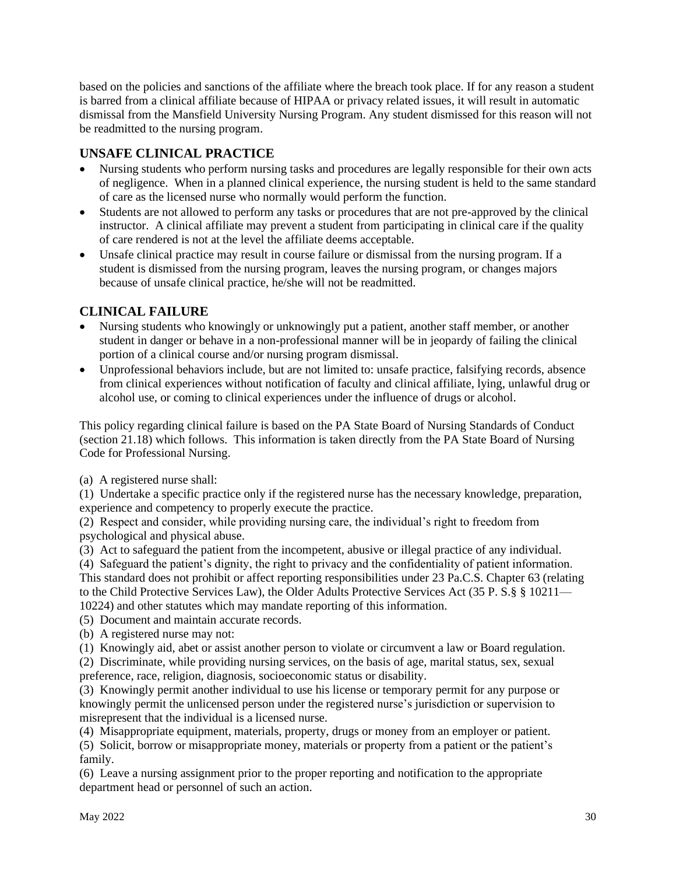based on the policies and sanctions of the affiliate where the breach took place. If for any reason a student is barred from a clinical affiliate because of HIPAA or privacy related issues, it will result in automatic dismissal from the Mansfield University Nursing Program. Any student dismissed for this reason will not be readmitted to the nursing program.

## **UNSAFE CLINICAL PRACTICE**

- Nursing students who perform nursing tasks and procedures are legally responsible for their own acts of negligence. When in a planned clinical experience, the nursing student is held to the same standard of care as the licensed nurse who normally would perform the function.
- Students are not allowed to perform any tasks or procedures that are not pre-approved by the clinical instructor. A clinical affiliate may prevent a student from participating in clinical care if the quality of care rendered is not at the level the affiliate deems acceptable.
- Unsafe clinical practice may result in course failure or dismissal from the nursing program. If a student is dismissed from the nursing program, leaves the nursing program, or changes majors because of unsafe clinical practice, he/she will not be readmitted.

## **CLINICAL FAILURE**

- Nursing students who knowingly or unknowingly put a patient, another staff member, or another student in danger or behave in a non-professional manner will be in jeopardy of failing the clinical portion of a clinical course and/or nursing program dismissal.
- Unprofessional behaviors include, but are not limited to: unsafe practice, falsifying records, absence from clinical experiences without notification of faculty and clinical affiliate, lying, unlawful drug or alcohol use, or coming to clinical experiences under the influence of drugs or alcohol.

This policy regarding clinical failure is based on the PA State Board of Nursing Standards of Conduct (section 21.18) which follows. This information is taken directly from the PA State Board of Nursing Code for Professional Nursing.

(a) A registered nurse shall:

(1) Undertake a specific practice only if the registered nurse has the necessary knowledge, preparation, experience and competency to properly execute the practice.

(2) Respect and consider, while providing nursing care, the individual's right to freedom from psychological and physical abuse.

(3) Act to safeguard the patient from the incompetent, abusive or illegal practice of any individual.

(4) Safeguard the patient's dignity, the right to privacy and the confidentiality of patient information. This standard does not prohibit or affect reporting responsibilities under 23 Pa.C.S. Chapter 63 (relating to the Child Protective Services Law), the Older Adults Protective Services Act (35 P. S.§ § 10211— 10224) and other statutes which may mandate reporting of this information.

(5) Document and maintain accurate records.

(b) A registered nurse may not:

(1) Knowingly aid, abet or assist another person to violate or circumvent a law or Board regulation.

(2) Discriminate, while providing nursing services, on the basis of age, marital status, sex, sexual preference, race, religion, diagnosis, socioeconomic status or disability.

(3) Knowingly permit another individual to use his license or temporary permit for any purpose or knowingly permit the unlicensed person under the registered nurse's jurisdiction or supervision to misrepresent that the individual is a licensed nurse.

(4) Misappropriate equipment, materials, property, drugs or money from an employer or patient.

(5) Solicit, borrow or misappropriate money, materials or property from a patient or the patient's family.

(6) Leave a nursing assignment prior to the proper reporting and notification to the appropriate department head or personnel of such an action.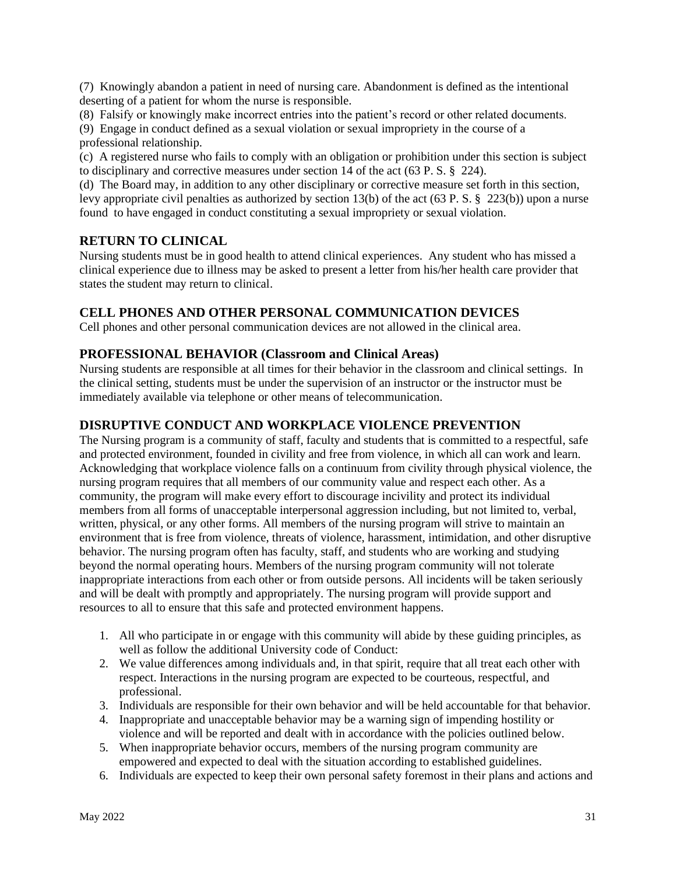(7) Knowingly abandon a patient in need of nursing care. Abandonment is defined as the intentional deserting of a patient for whom the nurse is responsible.

(8) Falsify or knowingly make incorrect entries into the patient's record or other related documents.

(9) Engage in conduct defined as a sexual violation or sexual impropriety in the course of a professional relationship.

(c) A registered nurse who fails to comply with an obligation or prohibition under this section is subject to disciplinary and corrective measures under section 14 of the act (63 P. S. § 224).

(d) The Board may, in addition to any other disciplinary or corrective measure set forth in this section, levy appropriate civil penalties as authorized by section 13(b) of the act (63 P. S. § 223(b)) upon a nurse found to have engaged in conduct constituting a sexual impropriety or sexual violation.

## **RETURN TO CLINICAL**

Nursing students must be in good health to attend clinical experiences. Any student who has missed a clinical experience due to illness may be asked to present a letter from his/her health care provider that states the student may return to clinical.

## **CELL PHONES AND OTHER PERSONAL COMMUNICATION DEVICES**

Cell phones and other personal communication devices are not allowed in the clinical area.

### **PROFESSIONAL BEHAVIOR (Classroom and Clinical Areas)**

Nursing students are responsible at all times for their behavior in the classroom and clinical settings. In the clinical setting, students must be under the supervision of an instructor or the instructor must be immediately available via telephone or other means of telecommunication.

### **DISRUPTIVE CONDUCT AND WORKPLACE VIOLENCE PREVENTION**

The Nursing program is a community of staff, faculty and students that is committed to a respectful, safe and protected environment, founded in civility and free from violence, in which all can work and learn. Acknowledging that workplace violence falls on a continuum from civility through physical violence, the nursing program requires that all members of our community value and respect each other. As a community, the program will make every effort to discourage incivility and protect its individual members from all forms of unacceptable interpersonal aggression including, but not limited to, verbal, written, physical, or any other forms. All members of the nursing program will strive to maintain an environment that is free from violence, threats of violence, harassment, intimidation, and other disruptive behavior. The nursing program often has faculty, staff, and students who are working and studying beyond the normal operating hours. Members of the nursing program community will not tolerate inappropriate interactions from each other or from outside persons. All incidents will be taken seriously and will be dealt with promptly and appropriately. The nursing program will provide support and resources to all to ensure that this safe and protected environment happens.

- 1. All who participate in or engage with this community will abide by these guiding principles, as well as follow the additional University code of Conduct:
- 2. We value differences among individuals and, in that spirit, require that all treat each other with respect. Interactions in the nursing program are expected to be courteous, respectful, and professional.
- 3. Individuals are responsible for their own behavior and will be held accountable for that behavior.
- 4. Inappropriate and unacceptable behavior may be a warning sign of impending hostility or violence and will be reported and dealt with in accordance with the policies outlined below.
- 5. When inappropriate behavior occurs, members of the nursing program community are empowered and expected to deal with the situation according to established guidelines.
- 6. Individuals are expected to keep their own personal safety foremost in their plans and actions and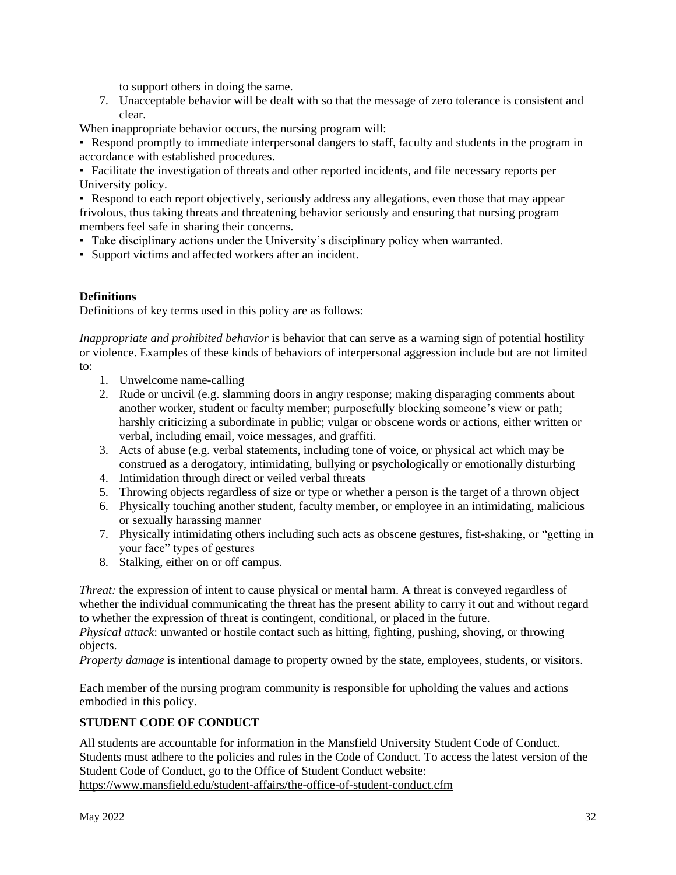to support others in doing the same.

7. Unacceptable behavior will be dealt with so that the message of zero tolerance is consistent and clear.

When inappropriate behavior occurs, the nursing program will:

• Respond promptly to immediate interpersonal dangers to staff, faculty and students in the program in accordance with established procedures.

▪ Facilitate the investigation of threats and other reported incidents, and file necessary reports per University policy.

▪ Respond to each report objectively, seriously address any allegations, even those that may appear frivolous, thus taking threats and threatening behavior seriously and ensuring that nursing program members feel safe in sharing their concerns.

- Take disciplinary actions under the University's disciplinary policy when warranted.
- Support victims and affected workers after an incident.

#### **Definitions**

Definitions of key terms used in this policy are as follows:

*Inappropriate and prohibited behavior* is behavior that can serve as a warning sign of potential hostility or violence. Examples of these kinds of behaviors of interpersonal aggression include but are not limited to:

- 1. Unwelcome name-calling
- 2. Rude or uncivil (e.g. slamming doors in angry response; making disparaging comments about another worker, student or faculty member; purposefully blocking someone's view or path; harshly criticizing a subordinate in public; vulgar or obscene words or actions, either written or verbal, including email, voice messages, and graffiti.
- 3. Acts of abuse (e.g. verbal statements, including tone of voice, or physical act which may be construed as a derogatory, intimidating, bullying or psychologically or emotionally disturbing
- 4. Intimidation through direct or veiled verbal threats
- 5. Throwing objects regardless of size or type or whether a person is the target of a thrown object
- 6. Physically touching another student, faculty member, or employee in an intimidating, malicious or sexually harassing manner
- 7. Physically intimidating others including such acts as obscene gestures, fist-shaking, or "getting in your face" types of gestures
- 8. Stalking, either on or off campus.

*Threat:* the expression of intent to cause physical or mental harm. A threat is conveyed regardless of whether the individual communicating the threat has the present ability to carry it out and without regard to whether the expression of threat is contingent, conditional, or placed in the future.

*Physical attack*: unwanted or hostile contact such as hitting, fighting, pushing, shoving, or throwing objects.

*Property damage* is intentional damage to property owned by the state, employees, students, or visitors.

Each member of the nursing program community is responsible for upholding the values and actions embodied in this policy.

### **STUDENT CODE OF CONDUCT**

All students are accountable for information in the Mansfield University Student Code of Conduct. Students must adhere to the policies and rules in the Code of Conduct. To access the latest version of the Student Code of Conduct, go to the Office of Student Conduct website: https://www.mansfield.edu/student-affairs/the-office-of-student-conduct.cfm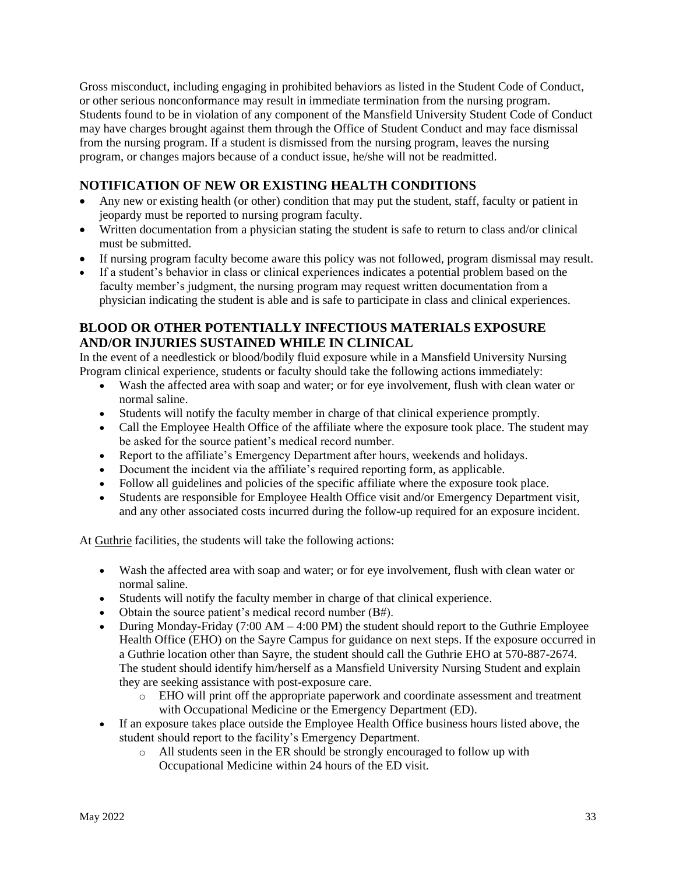Gross misconduct, including engaging in prohibited behaviors as listed in the Student Code of Conduct, or other serious nonconformance may result in immediate termination from the nursing program. Students found to be in violation of any component of the Mansfield University Student Code of Conduct may have charges brought against them through the Office of Student Conduct and may face dismissal from the nursing program. If a student is dismissed from the nursing program, leaves the nursing program, or changes majors because of a conduct issue, he/she will not be readmitted.

## **NOTIFICATION OF NEW OR EXISTING HEALTH CONDITIONS**

- Any new or existing health (or other) condition that may put the student, staff, faculty or patient in jeopardy must be reported to nursing program faculty.
- Written documentation from a physician stating the student is safe to return to class and/or clinical must be submitted.
- If nursing program faculty become aware this policy was not followed, program dismissal may result.
- If a student's behavior in class or clinical experiences indicates a potential problem based on the faculty member's judgment, the nursing program may request written documentation from a physician indicating the student is able and is safe to participate in class and clinical experiences.

### **BLOOD OR OTHER POTENTIALLY INFECTIOUS MATERIALS EXPOSURE AND/OR INJURIES SUSTAINED WHILE IN CLINICAL**

In the event of a needlestick or blood/bodily fluid exposure while in a Mansfield University Nursing Program clinical experience, students or faculty should take the following actions immediately:

- Wash the affected area with soap and water; or for eye involvement, flush with clean water or normal saline.
- Students will notify the faculty member in charge of that clinical experience promptly.
- Call the Employee Health Office of the affiliate where the exposure took place. The student may be asked for the source patient's medical record number.
- Report to the affiliate's Emergency Department after hours, weekends and holidays.
- Document the incident via the affiliate's required reporting form, as applicable.
- Follow all guidelines and policies of the specific affiliate where the exposure took place.
- Students are responsible for Employee Health Office visit and/or Emergency Department visit, and any other associated costs incurred during the follow-up required for an exposure incident.

At Guthrie facilities, the students will take the following actions:

- Wash the affected area with soap and water; or for eye involvement, flush with clean water or normal saline.
- Students will notify the faculty member in charge of that clinical experience.
- Obtain the source patient's medical record number (B#).
- During Monday-Friday  $(7:00 \text{ AM} 4:00 \text{ PM})$  the student should report to the Guthrie Employee Health Office (EHO) on the Sayre Campus for guidance on next steps. If the exposure occurred in a Guthrie location other than Sayre, the student should call the Guthrie EHO at 570-887-2674. The student should identify him/herself as a Mansfield University Nursing Student and explain they are seeking assistance with post-exposure care.
	- o EHO will print off the appropriate paperwork and coordinate assessment and treatment with Occupational Medicine or the Emergency Department (ED).
- If an exposure takes place outside the Employee Health Office business hours listed above, the student should report to the facility's Emergency Department.
	- o All students seen in the ER should be strongly encouraged to follow up with Occupational Medicine within 24 hours of the ED visit.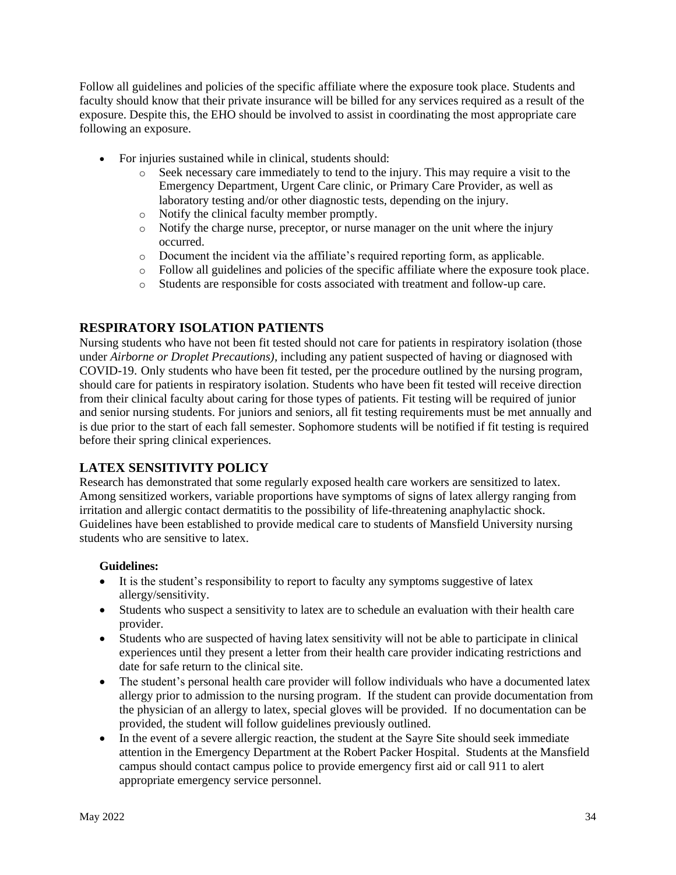Follow all guidelines and policies of the specific affiliate where the exposure took place. Students and faculty should know that their private insurance will be billed for any services required as a result of the exposure. Despite this, the EHO should be involved to assist in coordinating the most appropriate care following an exposure.

- For injuries sustained while in clinical, students should:
	- o Seek necessary care immediately to tend to the injury. This may require a visit to the Emergency Department, Urgent Care clinic, or Primary Care Provider, as well as laboratory testing and/or other diagnostic tests, depending on the injury.
	- o Notify the clinical faculty member promptly.
	- o Notify the charge nurse, preceptor, or nurse manager on the unit where the injury occurred.
	- o Document the incident via the affiliate's required reporting form, as applicable.
	- o Follow all guidelines and policies of the specific affiliate where the exposure took place.
	- o Students are responsible for costs associated with treatment and follow-up care.

## **RESPIRATORY ISOLATION PATIENTS**

Nursing students who have not been fit tested should not care for patients in respiratory isolation (those under *Airborne or Droplet Precautions),* including any patient suspected of having or diagnosed with COVID-19. Only students who have been fit tested, per the procedure outlined by the nursing program, should care for patients in respiratory isolation. Students who have been fit tested will receive direction from their clinical faculty about caring for those types of patients. Fit testing will be required of junior and senior nursing students. For juniors and seniors, all fit testing requirements must be met annually and is due prior to the start of each fall semester. Sophomore students will be notified if fit testing is required before their spring clinical experiences.

### **LATEX SENSITIVITY POLICY**

Research has demonstrated that some regularly exposed health care workers are sensitized to latex. Among sensitized workers, variable proportions have symptoms of signs of latex allergy ranging from irritation and allergic contact dermatitis to the possibility of life-threatening anaphylactic shock. Guidelines have been established to provide medical care to students of Mansfield University nursing students who are sensitive to latex.

#### **Guidelines:**

- It is the student's responsibility to report to faculty any symptoms suggestive of latex allergy/sensitivity.
- Students who suspect a sensitivity to latex are to schedule an evaluation with their health care provider.
- Students who are suspected of having latex sensitivity will not be able to participate in clinical experiences until they present a letter from their health care provider indicating restrictions and date for safe return to the clinical site.
- The student's personal health care provider will follow individuals who have a documented latex allergy prior to admission to the nursing program. If the student can provide documentation from the physician of an allergy to latex, special gloves will be provided. If no documentation can be provided, the student will follow guidelines previously outlined.
- In the event of a severe allergic reaction, the student at the Sayre Site should seek immediate attention in the Emergency Department at the Robert Packer Hospital. Students at the Mansfield campus should contact campus police to provide emergency first aid or call 911 to alert appropriate emergency service personnel.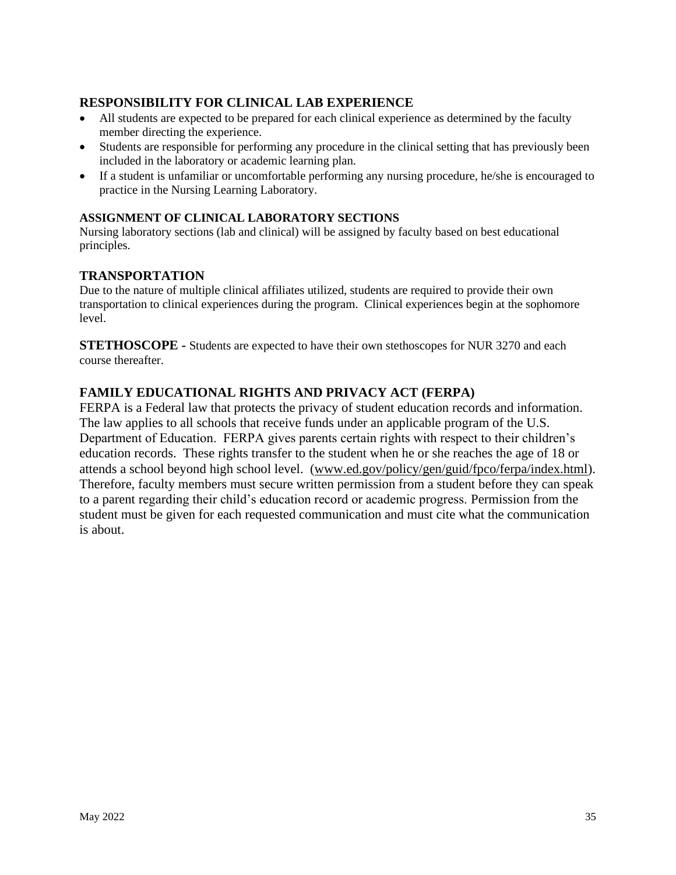## **RESPONSIBILITY FOR CLINICAL LAB EXPERIENCE**

- All students are expected to be prepared for each clinical experience as determined by the faculty member directing the experience.
- Students are responsible for performing any procedure in the clinical setting that has previously been included in the laboratory or academic learning plan.
- If a student is unfamiliar or uncomfortable performing any nursing procedure, he/she is encouraged to practice in the Nursing Learning Laboratory.

#### **ASSIGNMENT OF CLINICAL LABORATORY SECTIONS**

Nursing laboratory sections (lab and clinical) will be assigned by faculty based on best educational principles.

#### **TRANSPORTATION**

Due to the nature of multiple clinical affiliates utilized, students are required to provide their own transportation to clinical experiences during the program. Clinical experiences begin at the sophomore level.

**STETHOSCOPE -** Students are expected to have their own stethoscopes for NUR 3270 and each course thereafter.

## **FAMILY EDUCATIONAL RIGHTS AND PRIVACY ACT (FERPA)**

FERPA is a Federal law that protects the privacy of student education records and information. The law applies to all schools that receive funds under an applicable program of the U.S. Department of Education. FERPA gives parents certain rights with respect to their children's education records. These rights transfer to the student when he or she reaches the age of 18 or attends a school beyond high school level. [\(www.ed.gov/policy/gen/guid/fpco/ferpa/index.html\)](http://www.ed.gov/policy/gen/guid/fpco/ferpa/index.html). Therefore, faculty members must secure written permission from a student before they can speak to a parent regarding their child's education record or academic progress. Permission from the student must be given for each requested communication and must cite what the communication is about.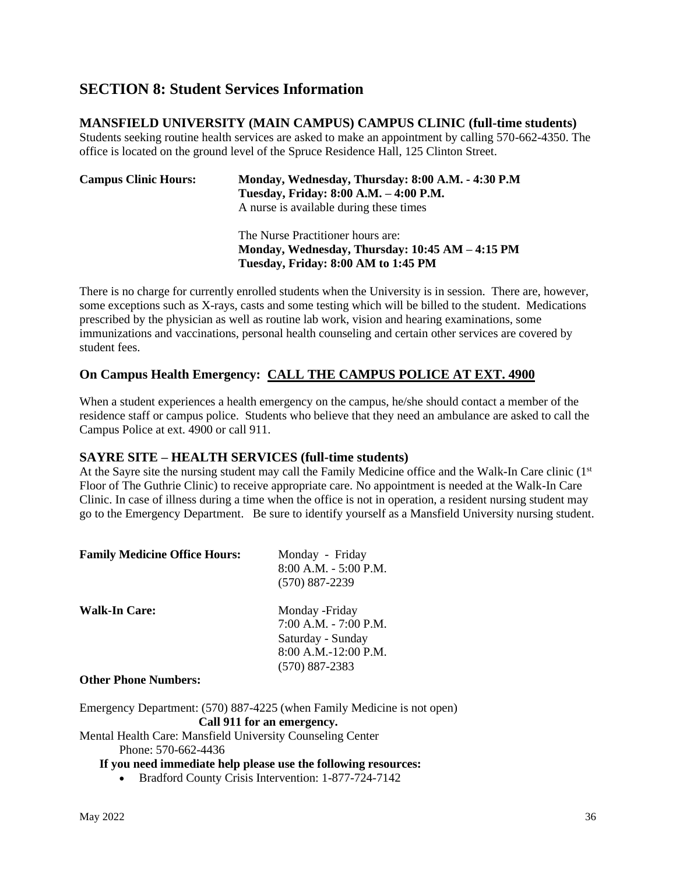## **SECTION 8: Student Services Information**

#### **MANSFIELD UNIVERSITY (MAIN CAMPUS) CAMPUS CLINIC (full-time students)**

Students seeking routine health services are asked to make an appointment by calling 570-662-4350. The office is located on the ground level of the Spruce Residence Hall, 125 Clinton Street.

| <b>Campus Clinic Hours:</b> | Monday, Wednesday, Thursday: 8:00 A.M. - 4:30 P.M<br>Tuesday, Friday: 8:00 A.M. - 4:00 P.M.<br>A nurse is available during these times |  |
|-----------------------------|----------------------------------------------------------------------------------------------------------------------------------------|--|
|                             | The Nurse Practitioner hours are:                                                                                                      |  |

**Monday, Wednesday, Thursday: 10:45 AM – 4:15 PM Tuesday, Friday: 8:00 AM to 1:45 PM**

There is no charge for currently enrolled students when the University is in session. There are, however, some exceptions such as X-rays, casts and some testing which will be billed to the student. Medications prescribed by the physician as well as routine lab work, vision and hearing examinations, some immunizations and vaccinations, personal health counseling and certain other services are covered by student fees.

### **On Campus Health Emergency: CALL THE CAMPUS POLICE AT EXT. 4900**

When a student experiences a health emergency on the campus, he/she should contact a member of the residence staff or campus police. Students who believe that they need an ambulance are asked to call the Campus Police at ext. 4900 or call 911.

#### **SAYRE SITE – HEALTH SERVICES (full-time students)**

At the Sayre site the nursing student may call the Family Medicine office and the Walk-In Care clinic (1st Floor of The Guthrie Clinic) to receive appropriate care. No appointment is needed at the Walk-In Care Clinic. In case of illness during a time when the office is not in operation, a resident nursing student may go to the Emergency Department. Be sure to identify yourself as a Mansfield University nursing student.

| <b>Family Medicine Office Hours:</b> | Monday - Friday<br>8:00 A.M. - 5:00 P.M.<br>$(570) 887 - 2239$                                                 |
|--------------------------------------|----------------------------------------------------------------------------------------------------------------|
| <b>Walk-In Care:</b>                 | Monday - Friday<br>$7:00$ A.M. $-7:00$ P.M.<br>Saturday - Sunday<br>8:00 A.M.-12:00 P.M.<br>$(570) 887 - 2383$ |
|                                      |                                                                                                                |

#### **Other Phone Numbers:**

Emergency Department: (570) 887-4225 (when Family Medicine is not open) **Call 911 for an emergency.**

Mental Health Care: Mansfield University Counseling Center Phone: 570-662-4436

#### **If you need immediate help please use the following resources:**

• Bradford County Crisis Intervention: 1-877-724-7142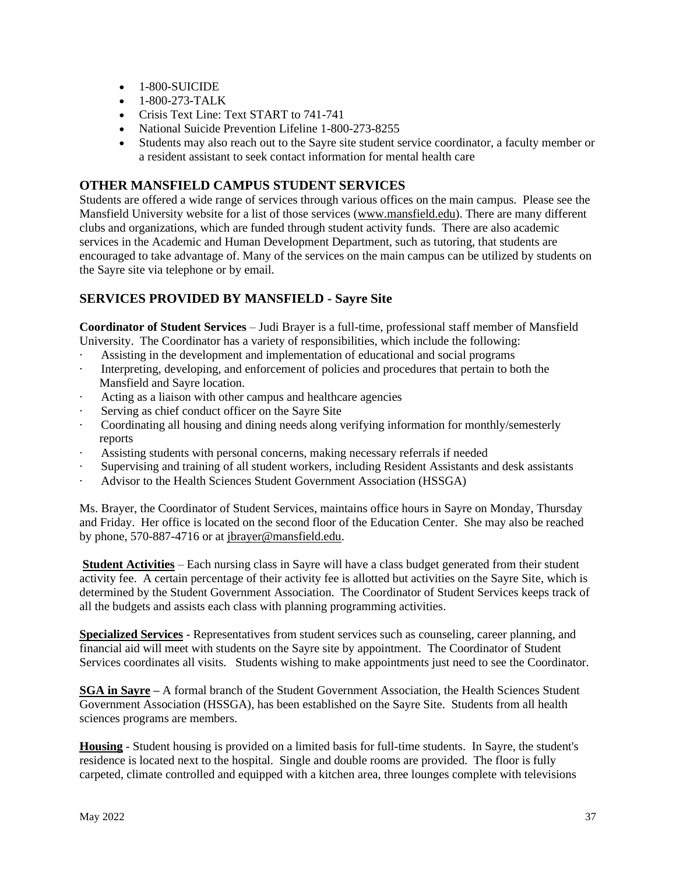- 1-800-SUICIDE
- 1-800-273-TALK
- Crisis Text Line: Text START to 741-741
- National Suicide Prevention Lifeline 1-800-273-8255
- Students may also reach out to the Sayre site student service coordinator, a faculty member or a resident assistant to seek contact information for mental health care

## **OTHER MANSFIELD CAMPUS STUDENT SERVICES**

Students are offered a wide range of services through various offices on the main campus. Please see the Mansfield University website for a list of those services [\(www.mansfield.edu\)](http://www.mansfield.edu/). There are many different clubs and organizations, which are funded through student activity funds. There are also academic services in the Academic and Human Development Department, such as tutoring, that students are encouraged to take advantage of. Many of the services on the main campus can be utilized by students on the Sayre site via telephone or by email.

## **SERVICES PROVIDED BY MANSFIELD - Sayre Site**

**Coordinator of Student Services** – Judi Brayer is a full-time, professional staff member of Mansfield University. The Coordinator has a variety of responsibilities, which include the following:

- · Assisting in the development and implementation of educational and social programs
- Interpreting, developing, and enforcement of policies and procedures that pertain to both the Mansfield and Sayre location.
- Acting as a liaison with other campus and healthcare agencies
- Serving as chief conduct officer on the Sayre Site
- · Coordinating all housing and dining needs along verifying information for monthly/semesterly reports
- Assisting students with personal concerns, making necessary referrals if needed
- · Supervising and training of all student workers, including Resident Assistants and desk assistants
- · Advisor to the Health Sciences Student Government Association (HSSGA)

Ms. Brayer, the Coordinator of Student Services, maintains office hours in Sayre on Monday, Thursday and Friday. Her office is located on the second floor of the Education Center. She may also be reached by phone, 570-887-4716 or at [jbrayer@mansfield.edu.](mailto:jbrayer@mansfield.edu)

**Student Activities** – Each nursing class in Sayre will have a class budget generated from their student activity fee. A certain percentage of their activity fee is allotted but activities on the Sayre Site, which is determined by the Student Government Association. The Coordinator of Student Services keeps track of all the budgets and assists each class with planning programming activities.

**Specialized Services** - Representatives from student services such as counseling, career planning, and financial aid will meet with students on the Sayre site by appointment. The Coordinator of Student Services coordinates all visits. Students wishing to make appointments just need to see the Coordinator.

**SGA in Sayre –** A formal branch of the Student Government Association, the Health Sciences Student Government Association (HSSGA), has been established on the Sayre Site. Students from all health sciences programs are members.

**Housing** - Student housing is provided on a limited basis for full-time students. In Sayre, the student's residence is located next to the hospital. Single and double rooms are provided. The floor is fully carpeted, climate controlled and equipped with a kitchen area, three lounges complete with televisions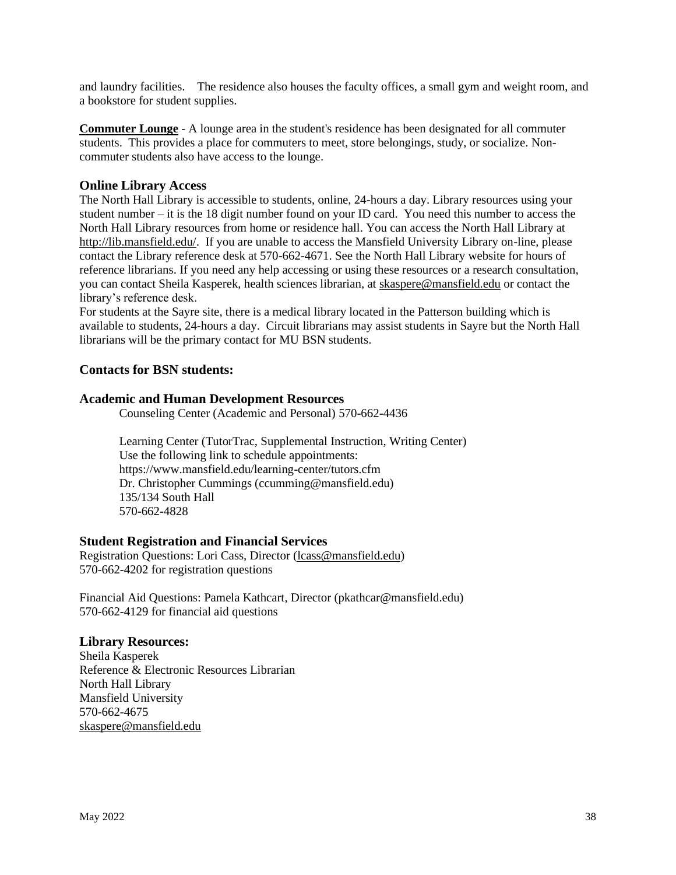and laundry facilities. The residence also houses the faculty offices, a small gym and weight room, and a bookstore for student supplies.

**Commuter Lounge** - A lounge area in the student's residence has been designated for all commuter students. This provides a place for commuters to meet, store belongings, study, or socialize. Noncommuter students also have access to the lounge.

#### **Online Library Access**

The North Hall Library is accessible to students, online, 24-hours a day. Library resources using your student number – it is the 18 digit number found on your ID card. You need this number to access the North Hall Library resources from home or residence hall. You can access the North Hall Library at [http://lib.mansfield.edu/.](http://lib.mansfield.edu/) If you are unable to access the Mansfield University Library on-line, please contact the Library reference desk at 570-662-4671. See the North Hall Library website for hours of reference librarians. If you need any help accessing or using these resources or a research consultation, you can contact Sheila Kasperek, health sciences librarian, at [skaspere@mansfield.edu](mailto:skaspere@mansfield.edu) or contact the library's reference desk.

For students at the Sayre site, there is a medical library located in the Patterson building which is available to students, 24-hours a day. Circuit librarians may assist students in Sayre but the North Hall librarians will be the primary contact for MU BSN students.

#### **Contacts for BSN students:**

#### **Academic and Human Development Resources**

Counseling Center (Academic and Personal) 570-662-4436

Learning Center (TutorTrac, Supplemental Instruction, Writing Center) Use the following link to schedule appointments: https://www.mansfield.edu/learning-center/tutors.cfm Dr. Christopher Cummings (ccumming@mansfield.edu) 135/134 South Hall 570-662-4828

#### **Student Registration and Financial Services**

Registration Questions: Lori Cass, Director [\(lcass@mansfield.edu\)](mailto:lcass@mansfield.edu) 570-662-4202 for registration questions

Financial Aid Questions: Pamela Kathcart, Director (pkathcar@mansfield.edu) 570-662-4129 for financial aid questions

#### **Library Resources:**

Sheila Kasperek Reference & Electronic Resources Librarian North Hall Library Mansfield University 570-662-4675 [skaspere@mansfield.edu](mailto:skaspere@mansfield.edu)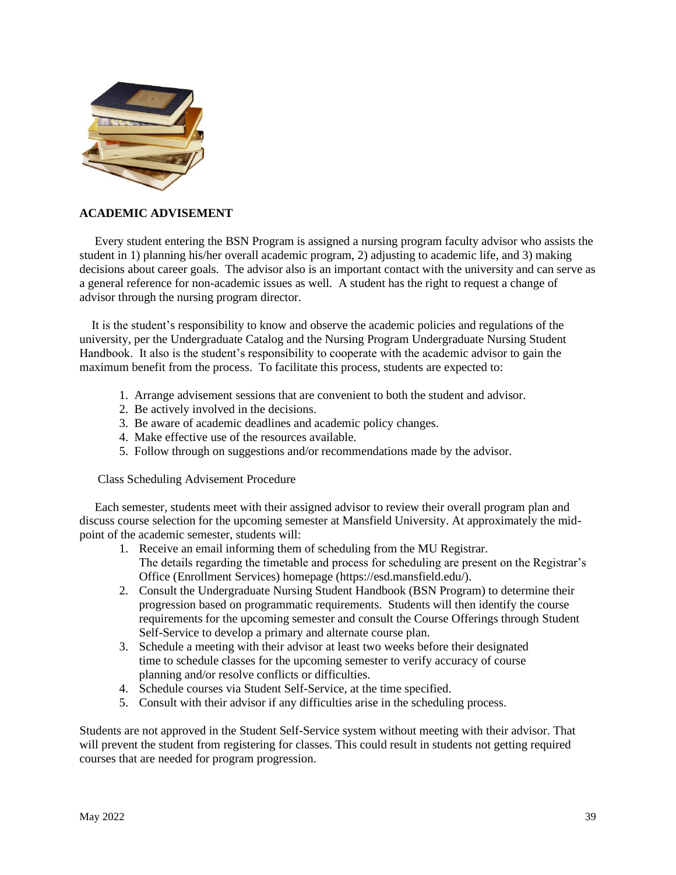

#### **ACADEMIC ADVISEMENT**

 Every student entering the BSN Program is assigned a nursing program faculty advisor who assists the student in 1) planning his/her overall academic program, 2) adjusting to academic life, and 3) making decisions about career goals. The advisor also is an important contact with the university and can serve as a general reference for non-academic issues as well. A student has the right to request a change of advisor through the nursing program director.

 It is the student's responsibility to know and observe the academic policies and regulations of the university, per the Undergraduate Catalog and the Nursing Program Undergraduate Nursing Student Handbook. It also is the student's responsibility to cooperate with the academic advisor to gain the maximum benefit from the process. To facilitate this process, students are expected to:

- 1. Arrange advisement sessions that are convenient to both the student and advisor.
- 2. Be actively involved in the decisions.
- 3. Be aware of academic deadlines and academic policy changes.
- 4. Make effective use of the resources available.
- 5. Follow through on suggestions and/or recommendations made by the advisor.

Class Scheduling Advisement Procedure

 Each semester, students meet with their assigned advisor to review their overall program plan and discuss course selection for the upcoming semester at Mansfield University. At approximately the midpoint of the academic semester, students will:

- 1. Receive an email informing them of scheduling from the MU Registrar. The details regarding the timetable and process for scheduling are present on the Registrar's Office (Enrollment Services) homepage (https://esd.mansfield.edu/).
- 2. Consult the Undergraduate Nursing Student Handbook (BSN Program) to determine their progression based on programmatic requirements. Students will then identify the course requirements for the upcoming semester and consult the Course Offerings through Student Self-Service to develop a primary and alternate course plan.
- 3. Schedule a meeting with their advisor at least two weeks before their designated time to schedule classes for the upcoming semester to verify accuracy of course planning and/or resolve conflicts or difficulties.
- 4. Schedule courses via Student Self-Service, at the time specified.
- 5. Consult with their advisor if any difficulties arise in the scheduling process.

Students are not approved in the Student Self-Service system without meeting with their advisor. That will prevent the student from registering for classes. This could result in students not getting required courses that are needed for program progression.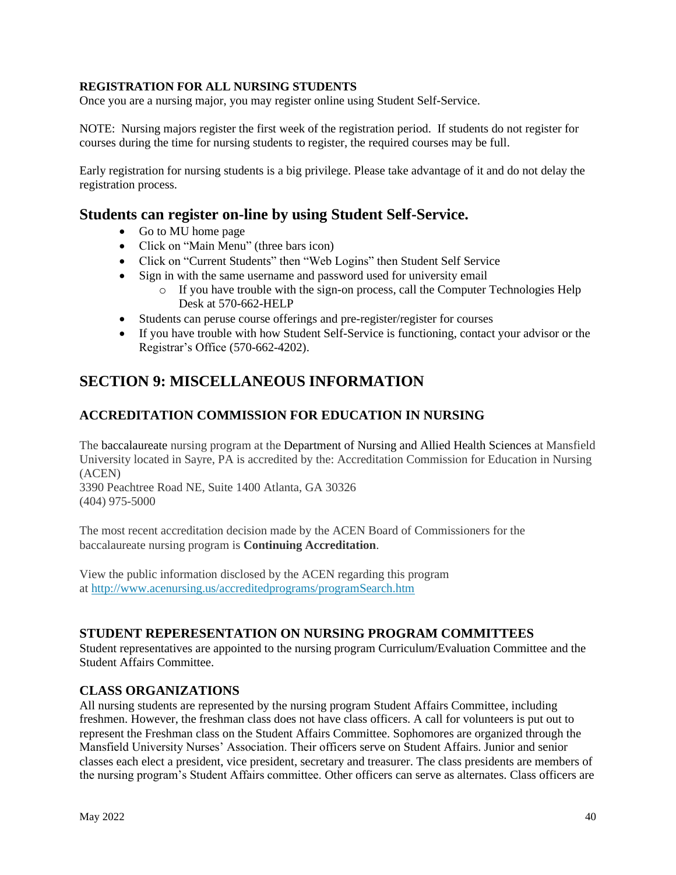#### **REGISTRATION FOR ALL NURSING STUDENTS**

Once you are a nursing major, you may register online using Student Self-Service.

NOTE: Nursing majors register the first week of the registration period. If students do not register for courses during the time for nursing students to register, the required courses may be full.

Early registration for nursing students is a big privilege. Please take advantage of it and do not delay the registration process.

## **Students can register on-line by using Student Self-Service.**

- Go to MU home page
- Click on "Main Menu" (three bars icon)
- Click on "Current Students" then "Web Logins" then Student Self Service
- Sign in with the same username and password used for university email
	- $\circ$  If you have trouble with the sign-on process, call the Computer Technologies Help Desk at 570-662-HELP
- Students can peruse course offerings and pre-register/register for courses
- If you have trouble with how Student Self-Service is functioning, contact your advisor or the Registrar's Office (570-662-4202).

## **SECTION 9: MISCELLANEOUS INFORMATION**

## **ACCREDITATION COMMISSION FOR EDUCATION IN NURSING**

The baccalaureate nursing program at the Department of Nursing and Allied Health Sciences at Mansfield University located in Sayre, PA is accredited by the: Accreditation Commission for Education in Nursing (ACEN)

3390 Peachtree Road NE, Suite 1400 Atlanta, GA 30326 (404) 975-5000

The most recent accreditation decision made by the ACEN Board of Commissioners for the baccalaureate nursing program is **Continuing Accreditation**.

View the public information disclosed by the ACEN regarding this program at <http://www.acenursing.us/accreditedprograms/programSearch.htm>

### **STUDENT REPERESENTATION ON NURSING PROGRAM COMMITTEES**

Student representatives are appointed to the nursing program Curriculum/Evaluation Committee and the Student Affairs Committee.

### **CLASS ORGANIZATIONS**

All nursing students are represented by the nursing program Student Affairs Committee, including freshmen. However, the freshman class does not have class officers. A call for volunteers is put out to represent the Freshman class on the Student Affairs Committee. Sophomores are organized through the Mansfield University Nurses' Association. Their officers serve on Student Affairs. Junior and senior classes each elect a president, vice president, secretary and treasurer. The class presidents are members of the nursing program's Student Affairs committee. Other officers can serve as alternates. Class officers are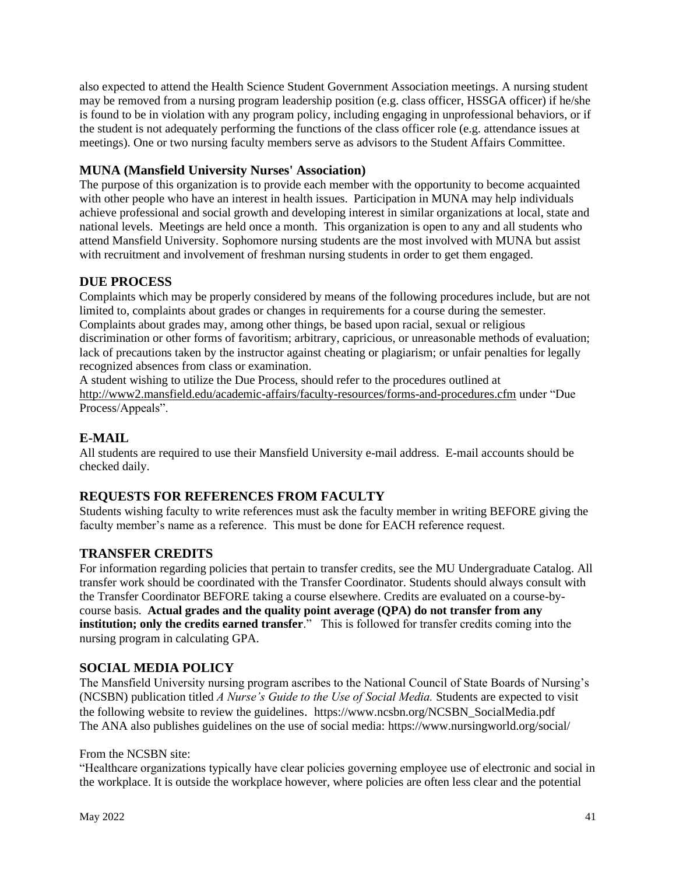also expected to attend the Health Science Student Government Association meetings. A nursing student may be removed from a nursing program leadership position (e.g. class officer, HSSGA officer) if he/she is found to be in violation with any program policy, including engaging in unprofessional behaviors, or if the student is not adequately performing the functions of the class officer role (e.g. attendance issues at meetings). One or two nursing faculty members serve as advisors to the Student Affairs Committee.

## **MUNA (Mansfield University Nurses' Association)**

The purpose of this organization is to provide each member with the opportunity to become acquainted with other people who have an interest in health issues. Participation in MUNA may help individuals achieve professional and social growth and developing interest in similar organizations at local, state and national levels. Meetings are held once a month. This organization is open to any and all students who attend Mansfield University. Sophomore nursing students are the most involved with MUNA but assist with recruitment and involvement of freshman nursing students in order to get them engaged.

### **DUE PROCESS**

Complaints which may be properly considered by means of the following procedures include, but are not limited to, complaints about grades or changes in requirements for a course during the semester. Complaints about grades may, among other things, be based upon racial, sexual or religious discrimination or other forms of favoritism; arbitrary, capricious, or unreasonable methods of evaluation; lack of precautions taken by the instructor against cheating or plagiarism; or unfair penalties for legally recognized absences from class or examination.

A student wishing to utilize the Due Process, should refer to the procedures outlined at <http://www2.mansfield.edu/academic-affairs/faculty-resources/forms-and-procedures.cfm> under "Due Process/Appeals".

### **E-MAIL**

All students are required to use their Mansfield University e-mail address. E-mail accounts should be checked daily.

### **REQUESTS FOR REFERENCES FROM FACULTY**

Students wishing faculty to write references must ask the faculty member in writing BEFORE giving the faculty member's name as a reference. This must be done for EACH reference request.

### **TRANSFER CREDITS**

For information regarding policies that pertain to transfer credits, see the MU Undergraduate Catalog. All transfer work should be coordinated with the Transfer Coordinator. Students should always consult with the Transfer Coordinator BEFORE taking a course elsewhere. Credits are evaluated on a course-bycourse basis. **Actual grades and the quality point average (QPA) do not transfer from any institution; only the credits earned transfer**." This is followed for transfer credits coming into the nursing program in calculating GPA.

### **SOCIAL MEDIA POLICY**

The Mansfield University nursing program ascribes to the National Council of State Boards of Nursing's (NCSBN) publication titled *A Nurse's Guide to the Use of Social Media.* Students are expected to visit the following website to review the guidelines. https://www.ncsbn.org/NCSBN\_SocialMedia.pdf The ANA also publishes guidelines on the use of social media: https://www.nursingworld.org/social/

#### From the NCSBN site:

"Healthcare organizations typically have clear policies governing employee use of electronic and social in the workplace. It is outside the workplace however, where policies are often less clear and the potential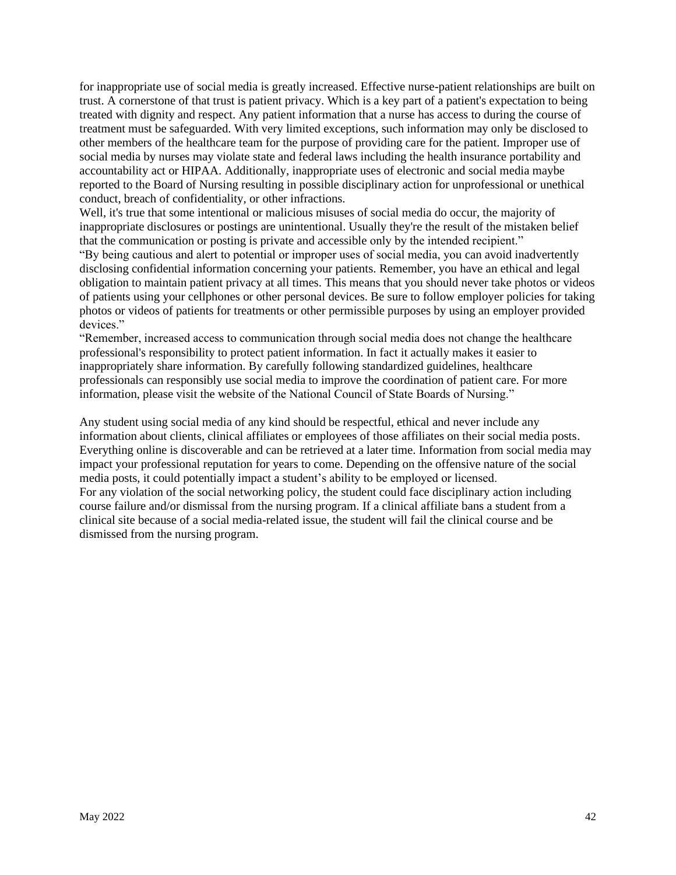for inappropriate use of social media is greatly increased. Effective nurse-patient relationships are built on trust. A cornerstone of that trust is patient privacy. Which is a key part of a patient's expectation to being treated with dignity and respect. Any patient information that a nurse has access to during the course of treatment must be safeguarded. With very limited exceptions, such information may only be disclosed to other members of the healthcare team for the purpose of providing care for the patient. Improper use of social media by nurses may violate state and federal laws including the health insurance portability and accountability act or HIPAA. Additionally, inappropriate uses of electronic and social media maybe reported to the Board of Nursing resulting in possible disciplinary action for unprofessional or unethical conduct, breach of confidentiality, or other infractions.

Well, it's true that some intentional or malicious misuses of social media do occur, the majority of inappropriate disclosures or postings are unintentional. Usually they're the result of the mistaken belief that the communication or posting is private and accessible only by the intended recipient."

"By being cautious and alert to potential or improper uses of social media, you can avoid inadvertently disclosing confidential information concerning your patients. Remember, you have an ethical and legal obligation to maintain patient privacy at all times. This means that you should never take photos or videos of patients using your cellphones or other personal devices. Be sure to follow employer policies for taking photos or videos of patients for treatments or other permissible purposes by using an employer provided devices."

"Remember, increased access to communication through social media does not change the healthcare professional's responsibility to protect patient information. In fact it actually makes it easier to inappropriately share information. By carefully following standardized guidelines, healthcare professionals can responsibly use social media to improve the coordination of patient care. For more information, please visit the website of the National Council of State Boards of Nursing."

Any student using social media of any kind should be respectful, ethical and never include any information about clients, clinical affiliates or employees of those affiliates on their social media posts. Everything online is discoverable and can be retrieved at a later time. Information from social media may impact your professional reputation for years to come. Depending on the offensive nature of the social media posts, it could potentially impact a student's ability to be employed or licensed. For any violation of the social networking policy, the student could face disciplinary action including course failure and/or dismissal from the nursing program. If a clinical affiliate bans a student from a clinical site because of a social media-related issue, the student will fail the clinical course and be dismissed from the nursing program.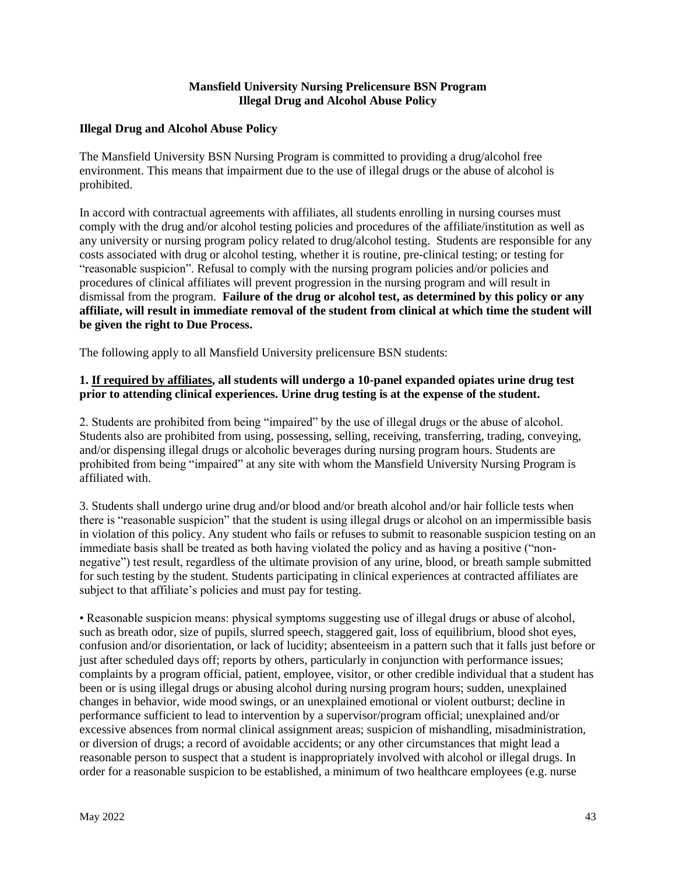#### **Mansfield University Nursing Prelicensure BSN Program Illegal Drug and Alcohol Abuse Policy**

#### **Illegal Drug and Alcohol Abuse Policy**

The Mansfield University BSN Nursing Program is committed to providing a drug/alcohol free environment. This means that impairment due to the use of illegal drugs or the abuse of alcohol is prohibited.

In accord with contractual agreements with affiliates, all students enrolling in nursing courses must comply with the drug and/or alcohol testing policies and procedures of the affiliate/institution as well as any university or nursing program policy related to drug/alcohol testing. Students are responsible for any costs associated with drug or alcohol testing, whether it is routine, pre-clinical testing; or testing for "reasonable suspicion". Refusal to comply with the nursing program policies and/or policies and procedures of clinical affiliates will prevent progression in the nursing program and will result in dismissal from the program. **Failure of the drug or alcohol test, as determined by this policy or any affiliate, will result in immediate removal of the student from clinical at which time the student will be given the right to Due Process.** 

The following apply to all Mansfield University prelicensure BSN students:

#### **1. If required by affiliates, all students will undergo a 10-panel expanded opiates urine drug test prior to attending clinical experiences. Urine drug testing is at the expense of the student.**

2. Students are prohibited from being "impaired" by the use of illegal drugs or the abuse of alcohol. Students also are prohibited from using, possessing, selling, receiving, transferring, trading, conveying, and/or dispensing illegal drugs or alcoholic beverages during nursing program hours. Students are prohibited from being "impaired" at any site with whom the Mansfield University Nursing Program is affiliated with.

3. Students shall undergo urine drug and/or blood and/or breath alcohol and/or hair follicle tests when there is "reasonable suspicion" that the student is using illegal drugs or alcohol on an impermissible basis in violation of this policy. Any student who fails or refuses to submit to reasonable suspicion testing on an immediate basis shall be treated as both having violated the policy and as having a positive ("nonnegative") test result, regardless of the ultimate provision of any urine, blood, or breath sample submitted for such testing by the student. Students participating in clinical experiences at contracted affiliates are subject to that affiliate's policies and must pay for testing.

• Reasonable suspicion means: physical symptoms suggesting use of illegal drugs or abuse of alcohol, such as breath odor, size of pupils, slurred speech, staggered gait, loss of equilibrium, blood shot eyes, confusion and/or disorientation, or lack of lucidity; absenteeism in a pattern such that it falls just before or just after scheduled days off; reports by others, particularly in conjunction with performance issues; complaints by a program official, patient, employee, visitor, or other credible individual that a student has been or is using illegal drugs or abusing alcohol during nursing program hours; sudden, unexplained changes in behavior, wide mood swings, or an unexplained emotional or violent outburst; decline in performance sufficient to lead to intervention by a supervisor/program official; unexplained and/or excessive absences from normal clinical assignment areas; suspicion of mishandling, misadministration, or diversion of drugs; a record of avoidable accidents; or any other circumstances that might lead a reasonable person to suspect that a student is inappropriately involved with alcohol or illegal drugs. In order for a reasonable suspicion to be established, a minimum of two healthcare employees (e.g. nurse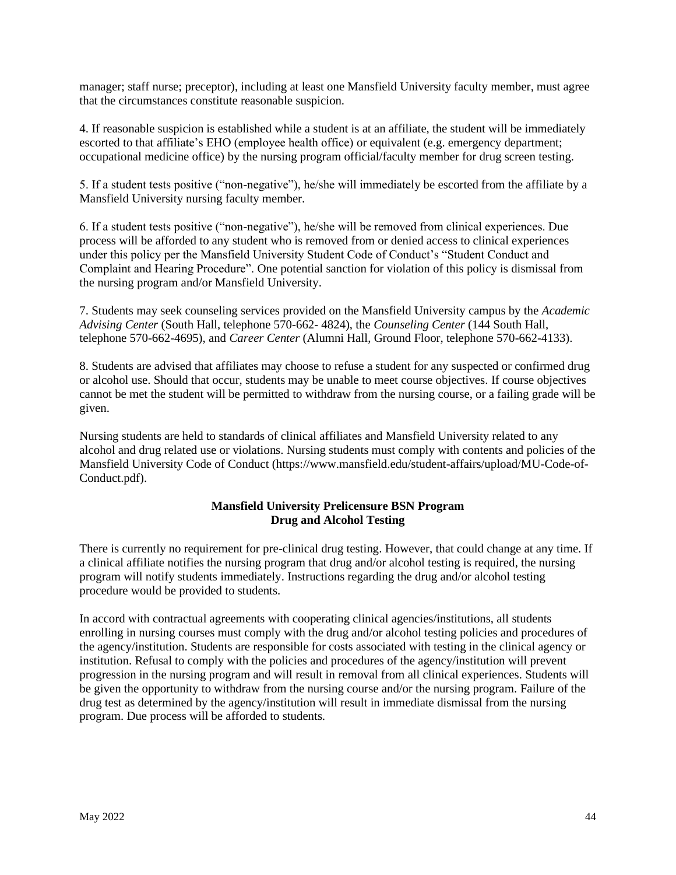manager; staff nurse; preceptor), including at least one Mansfield University faculty member, must agree that the circumstances constitute reasonable suspicion.

4. If reasonable suspicion is established while a student is at an affiliate, the student will be immediately escorted to that affiliate's EHO (employee health office) or equivalent (e.g. emergency department; occupational medicine office) by the nursing program official/faculty member for drug screen testing.

5. If a student tests positive ("non-negative"), he/she will immediately be escorted from the affiliate by a Mansfield University nursing faculty member.

6. If a student tests positive ("non-negative"), he/she will be removed from clinical experiences. Due process will be afforded to any student who is removed from or denied access to clinical experiences under this policy per the Mansfield University Student Code of Conduct's "Student Conduct and Complaint and Hearing Procedure". One potential sanction for violation of this policy is dismissal from the nursing program and/or Mansfield University.

7. Students may seek counseling services provided on the Mansfield University campus by the *Academic Advising Center* (South Hall, telephone 570-662- 4824), the *Counseling Center* (144 South Hall, telephone 570-662-4695), and *Career Center* (Alumni Hall, Ground Floor, telephone 570-662-4133).

8. Students are advised that affiliates may choose to refuse a student for any suspected or confirmed drug or alcohol use. Should that occur, students may be unable to meet course objectives. If course objectives cannot be met the student will be permitted to withdraw from the nursing course, or a failing grade will be given.

Nursing students are held to standards of clinical affiliates and Mansfield University related to any alcohol and drug related use or violations. Nursing students must comply with contents and policies of the Mansfield University Code of Conduct (https://www.mansfield.edu/student-affairs/upload/MU-Code-of-Conduct.pdf).

#### **Mansfield University Prelicensure BSN Program Drug and Alcohol Testing**

There is currently no requirement for pre-clinical drug testing. However, that could change at any time. If a clinical affiliate notifies the nursing program that drug and/or alcohol testing is required, the nursing program will notify students immediately. Instructions regarding the drug and/or alcohol testing procedure would be provided to students.

In accord with contractual agreements with cooperating clinical agencies/institutions, all students enrolling in nursing courses must comply with the drug and/or alcohol testing policies and procedures of the agency/institution. Students are responsible for costs associated with testing in the clinical agency or institution. Refusal to comply with the policies and procedures of the agency/institution will prevent progression in the nursing program and will result in removal from all clinical experiences. Students will be given the opportunity to withdraw from the nursing course and/or the nursing program. Failure of the drug test as determined by the agency/institution will result in immediate dismissal from the nursing program. Due process will be afforded to students.